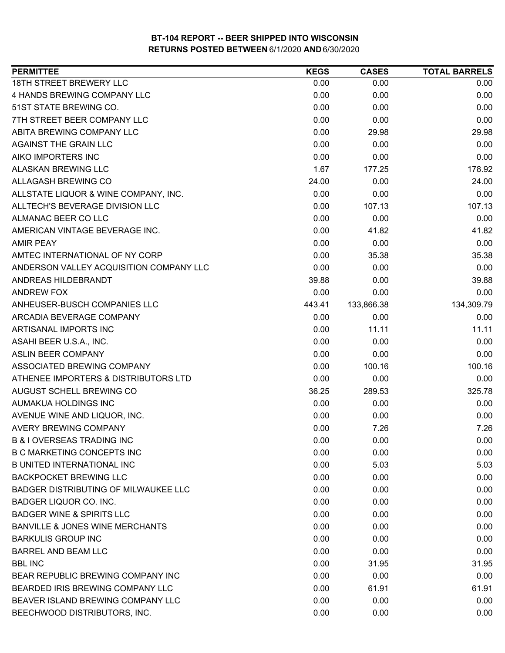| 18TH STREET BREWERY LLC<br>0.00<br>0.00<br>4 HANDS BREWING COMPANY LLC<br>0.00<br>0.00<br>51ST STATE BREWING CO.<br>0.00<br>0.00 | 0.00<br>0.00<br>0.00<br>0.00<br>29.98 |
|----------------------------------------------------------------------------------------------------------------------------------|---------------------------------------|
|                                                                                                                                  |                                       |
|                                                                                                                                  |                                       |
|                                                                                                                                  |                                       |
| 7TH STREET BEER COMPANY LLC<br>0.00<br>0.00                                                                                      |                                       |
| ABITA BREWING COMPANY LLC<br>0.00<br>29.98                                                                                       |                                       |
| AGAINST THE GRAIN LLC<br>0.00<br>0.00                                                                                            | 0.00                                  |
| AIKO IMPORTERS INC<br>0.00<br>0.00                                                                                               | 0.00                                  |
| <b>ALASKAN BREWING LLC</b><br>1.67<br>177.25                                                                                     | 178.92                                |
| ALLAGASH BREWING CO<br>24.00<br>0.00                                                                                             | 24.00                                 |
| 0.00<br>0.00<br>ALLSTATE LIQUOR & WINE COMPANY, INC.                                                                             | 0.00                                  |
| ALLTECH'S BEVERAGE DIVISION LLC<br>0.00<br>107.13                                                                                | 107.13                                |
| ALMANAC BEER CO LLC<br>0.00<br>0.00                                                                                              | 0.00                                  |
| AMERICAN VINTAGE BEVERAGE INC.<br>0.00<br>41.82                                                                                  | 41.82                                 |
| 0.00<br>0.00<br><b>AMIR PEAY</b>                                                                                                 | 0.00                                  |
| AMTEC INTERNATIONAL OF NY CORP<br>0.00<br>35.38                                                                                  | 35.38                                 |
| ANDERSON VALLEY ACQUISITION COMPANY LLC<br>0.00<br>0.00                                                                          | 0.00                                  |
| ANDREAS HILDEBRANDT<br>39.88<br>0.00                                                                                             | 39.88                                 |
| 0.00<br>0.00<br><b>ANDREW FOX</b>                                                                                                | 0.00                                  |
| ANHEUSER-BUSCH COMPANIES LLC<br>443.41<br>133,866.38                                                                             | 134,309.79                            |
| ARCADIA BEVERAGE COMPANY<br>0.00<br>0.00                                                                                         | 0.00                                  |
| ARTISANAL IMPORTS INC<br>0.00<br>11.11                                                                                           | 11.11                                 |
| 0.00<br>ASAHI BEER U.S.A., INC.<br>0.00                                                                                          | 0.00                                  |
| <b>ASLIN BEER COMPANY</b><br>0.00<br>0.00                                                                                        | 0.00                                  |
| ASSOCIATED BREWING COMPANY<br>0.00<br>100.16                                                                                     | 100.16                                |
| ATHENEE IMPORTERS & DISTRIBUTORS LTD<br>0.00<br>0.00                                                                             | 0.00                                  |
| AUGUST SCHELL BREWING CO<br>36.25<br>289.53                                                                                      | 325.78                                |
| AUMAKUA HOLDINGS INC<br>0.00<br>0.00                                                                                             | 0.00                                  |
| AVENUE WINE AND LIQUOR, INC.<br>0.00<br>0.00                                                                                     | 0.00                                  |
| <b>AVERY BREWING COMPANY</b><br>0.00<br>7.26                                                                                     | 7.26                                  |
| <b>B &amp; I OVERSEAS TRADING INC</b><br>0.00<br>0.00                                                                            | 0.00                                  |
| <b>B C MARKETING CONCEPTS INC</b><br>0.00<br>0.00                                                                                | 0.00                                  |
| 0.00<br>5.03<br><b>B UNITED INTERNATIONAL INC.</b>                                                                               | 5.03                                  |
| <b>BACKPOCKET BREWING LLC</b><br>0.00<br>0.00                                                                                    | 0.00                                  |
| <b>BADGER DISTRIBUTING OF MILWAUKEE LLC</b><br>0.00<br>0.00                                                                      | 0.00                                  |
| BADGER LIQUOR CO. INC.<br>0.00<br>0.00                                                                                           | 0.00                                  |
| <b>BADGER WINE &amp; SPIRITS LLC</b><br>0.00<br>0.00                                                                             | 0.00                                  |
| <b>BANVILLE &amp; JONES WINE MERCHANTS</b><br>0.00<br>0.00                                                                       | 0.00                                  |
| <b>BARKULIS GROUP INC</b><br>0.00<br>0.00                                                                                        | 0.00                                  |
| <b>BARREL AND BEAM LLC</b><br>0.00<br>0.00                                                                                       | 0.00                                  |
| <b>BBL INC</b><br>0.00<br>31.95                                                                                                  | 31.95                                 |
| BEAR REPUBLIC BREWING COMPANY INC<br>0.00<br>0.00                                                                                | 0.00                                  |
| BEARDED IRIS BREWING COMPANY LLC<br>0.00<br>61.91                                                                                | 61.91                                 |
| BEAVER ISLAND BREWING COMPANY LLC<br>0.00<br>0.00                                                                                | 0.00                                  |
| 0.00<br>BEECHWOOD DISTRIBUTORS, INC.<br>0.00                                                                                     | 0.00                                  |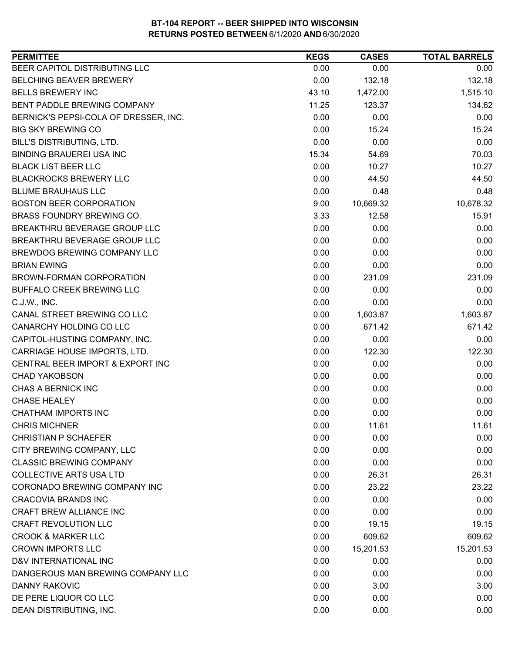| BEER CAPITOL DISTRIBUTING LLC<br>0.00<br>0.00<br>0.00<br>132.18<br><b>BELCHING BEAVER BREWERY</b><br>0.00<br>132.18<br><b>BELLS BREWERY INC</b><br>1,515.10<br>43.10<br>1,472.00<br>BENT PADDLE BREWING COMPANY<br>11.25<br>134.62<br>123.37<br>0.00<br>0.00<br>BERNICK'S PEPSI-COLA OF DRESSER, INC.<br>0.00<br><b>BIG SKY BREWING CO</b><br>0.00<br>15.24<br>15.24<br>BILL'S DISTRIBUTING, LTD.<br>0.00<br>0.00<br>0.00<br><b>BINDING BRAUEREI USA INC</b><br>15.34<br>70.03<br>54.69<br>0.00<br><b>BLACK LIST BEER LLC</b><br>10.27<br>10.27<br><b>BLACKROCKS BREWERY LLC</b><br>0.00<br>44.50<br>44.50<br>0.00<br><b>BLUME BRAUHAUS LLC</b><br>0.48<br>0.48<br><b>BOSTON BEER CORPORATION</b><br>9.00<br>10,669.32<br>10,678.32<br>BRASS FOUNDRY BREWING CO.<br>3.33<br>12.58<br>15.91<br>BREAKTHRU BEVERAGE GROUP LLC<br>0.00<br>0.00<br>0.00<br>BREAKTHRU BEVERAGE GROUP LLC<br>0.00<br>0.00<br>0.00<br>0.00<br>BREWDOG BREWING COMPANY LLC<br>0.00<br>0.00<br>0.00<br>0.00<br>0.00<br><b>BRIAN EWING</b><br><b>BROWN-FORMAN CORPORATION</b><br>0.00<br>231.09<br>231.09<br>BUFFALO CREEK BREWING LLC<br>0.00<br>0.00<br>0.00<br>0.00<br>0.00<br>C.J.W., INC.<br>0.00<br>0.00<br>CANAL STREET BREWING CO LLC<br>1,603.87<br>1,603.87<br>CANARCHY HOLDING CO LLC<br>0.00<br>671.42<br>671.42<br>CAPITOL-HUSTING COMPANY, INC.<br>0.00<br>0.00<br>0.00<br>CARRIAGE HOUSE IMPORTS, LTD.<br>0.00<br>122.30<br>122.30<br>0.00<br>CENTRAL BEER IMPORT & EXPORT INC<br>0.00<br>0.00<br><b>CHAD YAKOBSON</b><br>0.00<br>0.00<br>0.00<br>CHAS A BERNICK INC<br>0.00<br>0.00<br>0.00<br><b>CHASE HEALEY</b><br>0.00<br>0.00<br>0.00<br>0.00<br><b>CHATHAM IMPORTS INC</b><br>0.00<br>0.00<br><b>CHRIS MICHNER</b><br>0.00<br>11.61<br>11.61<br>0.00<br><b>CHRISTIAN P SCHAEFER</b><br>0.00<br>0.00<br>CITY BREWING COMPANY, LLC<br>0.00<br>0.00<br>0.00<br><b>CLASSIC BREWING COMPANY</b><br>0.00<br>0.00<br>0.00<br><b>COLLECTIVE ARTS USA LTD</b><br>0.00<br>26.31<br>26.31<br>CORONADO BREWING COMPANY INC<br>0.00<br>23.22<br>23.22<br><b>CRACOVIA BRANDS INC</b><br>0.00<br>0.00<br>0.00<br>CRAFT BREW ALLIANCE INC<br>0.00<br>0.00<br>0.00<br><b>CRAFT REVOLUTION LLC</b><br>0.00<br>19.15<br>19.15<br><b>CROOK &amp; MARKER LLC</b><br>0.00<br>609.62<br>609.62<br><b>CROWN IMPORTS LLC</b><br>0.00<br>15,201.53<br>15,201.53<br>D&V INTERNATIONAL INC<br>0.00<br>0.00<br>0.00<br>DANGEROUS MAN BREWING COMPANY LLC<br>0.00<br>0.00<br>0.00<br>0.00<br>3.00<br>DANNY RAKOVIC<br>3.00<br>DE PERE LIQUOR CO LLC<br>0.00<br>0.00<br>0.00<br>DEAN DISTRIBUTING, INC.<br>0.00<br>0.00<br>0.00 | <b>PERMITTEE</b> | <b>KEGS</b> | <b>CASES</b> | <b>TOTAL BARRELS</b> |
|---------------------------------------------------------------------------------------------------------------------------------------------------------------------------------------------------------------------------------------------------------------------------------------------------------------------------------------------------------------------------------------------------------------------------------------------------------------------------------------------------------------------------------------------------------------------------------------------------------------------------------------------------------------------------------------------------------------------------------------------------------------------------------------------------------------------------------------------------------------------------------------------------------------------------------------------------------------------------------------------------------------------------------------------------------------------------------------------------------------------------------------------------------------------------------------------------------------------------------------------------------------------------------------------------------------------------------------------------------------------------------------------------------------------------------------------------------------------------------------------------------------------------------------------------------------------------------------------------------------------------------------------------------------------------------------------------------------------------------------------------------------------------------------------------------------------------------------------------------------------------------------------------------------------------------------------------------------------------------------------------------------------------------------------------------------------------------------------------------------------------------------------------------------------------------------------------------------------------------------------------------------------------------------------------------------------------------------------------------------------------------------------------------------------------------------------------------------------------------------------------------------------------------------------------------------------------------------------|------------------|-------------|--------------|----------------------|
|                                                                                                                                                                                                                                                                                                                                                                                                                                                                                                                                                                                                                                                                                                                                                                                                                                                                                                                                                                                                                                                                                                                                                                                                                                                                                                                                                                                                                                                                                                                                                                                                                                                                                                                                                                                                                                                                                                                                                                                                                                                                                                                                                                                                                                                                                                                                                                                                                                                                                                                                                                                             |                  |             |              |                      |
|                                                                                                                                                                                                                                                                                                                                                                                                                                                                                                                                                                                                                                                                                                                                                                                                                                                                                                                                                                                                                                                                                                                                                                                                                                                                                                                                                                                                                                                                                                                                                                                                                                                                                                                                                                                                                                                                                                                                                                                                                                                                                                                                                                                                                                                                                                                                                                                                                                                                                                                                                                                             |                  |             |              |                      |
|                                                                                                                                                                                                                                                                                                                                                                                                                                                                                                                                                                                                                                                                                                                                                                                                                                                                                                                                                                                                                                                                                                                                                                                                                                                                                                                                                                                                                                                                                                                                                                                                                                                                                                                                                                                                                                                                                                                                                                                                                                                                                                                                                                                                                                                                                                                                                                                                                                                                                                                                                                                             |                  |             |              |                      |
|                                                                                                                                                                                                                                                                                                                                                                                                                                                                                                                                                                                                                                                                                                                                                                                                                                                                                                                                                                                                                                                                                                                                                                                                                                                                                                                                                                                                                                                                                                                                                                                                                                                                                                                                                                                                                                                                                                                                                                                                                                                                                                                                                                                                                                                                                                                                                                                                                                                                                                                                                                                             |                  |             |              |                      |
|                                                                                                                                                                                                                                                                                                                                                                                                                                                                                                                                                                                                                                                                                                                                                                                                                                                                                                                                                                                                                                                                                                                                                                                                                                                                                                                                                                                                                                                                                                                                                                                                                                                                                                                                                                                                                                                                                                                                                                                                                                                                                                                                                                                                                                                                                                                                                                                                                                                                                                                                                                                             |                  |             |              |                      |
|                                                                                                                                                                                                                                                                                                                                                                                                                                                                                                                                                                                                                                                                                                                                                                                                                                                                                                                                                                                                                                                                                                                                                                                                                                                                                                                                                                                                                                                                                                                                                                                                                                                                                                                                                                                                                                                                                                                                                                                                                                                                                                                                                                                                                                                                                                                                                                                                                                                                                                                                                                                             |                  |             |              |                      |
|                                                                                                                                                                                                                                                                                                                                                                                                                                                                                                                                                                                                                                                                                                                                                                                                                                                                                                                                                                                                                                                                                                                                                                                                                                                                                                                                                                                                                                                                                                                                                                                                                                                                                                                                                                                                                                                                                                                                                                                                                                                                                                                                                                                                                                                                                                                                                                                                                                                                                                                                                                                             |                  |             |              |                      |
|                                                                                                                                                                                                                                                                                                                                                                                                                                                                                                                                                                                                                                                                                                                                                                                                                                                                                                                                                                                                                                                                                                                                                                                                                                                                                                                                                                                                                                                                                                                                                                                                                                                                                                                                                                                                                                                                                                                                                                                                                                                                                                                                                                                                                                                                                                                                                                                                                                                                                                                                                                                             |                  |             |              |                      |
|                                                                                                                                                                                                                                                                                                                                                                                                                                                                                                                                                                                                                                                                                                                                                                                                                                                                                                                                                                                                                                                                                                                                                                                                                                                                                                                                                                                                                                                                                                                                                                                                                                                                                                                                                                                                                                                                                                                                                                                                                                                                                                                                                                                                                                                                                                                                                                                                                                                                                                                                                                                             |                  |             |              |                      |
|                                                                                                                                                                                                                                                                                                                                                                                                                                                                                                                                                                                                                                                                                                                                                                                                                                                                                                                                                                                                                                                                                                                                                                                                                                                                                                                                                                                                                                                                                                                                                                                                                                                                                                                                                                                                                                                                                                                                                                                                                                                                                                                                                                                                                                                                                                                                                                                                                                                                                                                                                                                             |                  |             |              |                      |
|                                                                                                                                                                                                                                                                                                                                                                                                                                                                                                                                                                                                                                                                                                                                                                                                                                                                                                                                                                                                                                                                                                                                                                                                                                                                                                                                                                                                                                                                                                                                                                                                                                                                                                                                                                                                                                                                                                                                                                                                                                                                                                                                                                                                                                                                                                                                                                                                                                                                                                                                                                                             |                  |             |              |                      |
|                                                                                                                                                                                                                                                                                                                                                                                                                                                                                                                                                                                                                                                                                                                                                                                                                                                                                                                                                                                                                                                                                                                                                                                                                                                                                                                                                                                                                                                                                                                                                                                                                                                                                                                                                                                                                                                                                                                                                                                                                                                                                                                                                                                                                                                                                                                                                                                                                                                                                                                                                                                             |                  |             |              |                      |
|                                                                                                                                                                                                                                                                                                                                                                                                                                                                                                                                                                                                                                                                                                                                                                                                                                                                                                                                                                                                                                                                                                                                                                                                                                                                                                                                                                                                                                                                                                                                                                                                                                                                                                                                                                                                                                                                                                                                                                                                                                                                                                                                                                                                                                                                                                                                                                                                                                                                                                                                                                                             |                  |             |              |                      |
|                                                                                                                                                                                                                                                                                                                                                                                                                                                                                                                                                                                                                                                                                                                                                                                                                                                                                                                                                                                                                                                                                                                                                                                                                                                                                                                                                                                                                                                                                                                                                                                                                                                                                                                                                                                                                                                                                                                                                                                                                                                                                                                                                                                                                                                                                                                                                                                                                                                                                                                                                                                             |                  |             |              |                      |
|                                                                                                                                                                                                                                                                                                                                                                                                                                                                                                                                                                                                                                                                                                                                                                                                                                                                                                                                                                                                                                                                                                                                                                                                                                                                                                                                                                                                                                                                                                                                                                                                                                                                                                                                                                                                                                                                                                                                                                                                                                                                                                                                                                                                                                                                                                                                                                                                                                                                                                                                                                                             |                  |             |              |                      |
|                                                                                                                                                                                                                                                                                                                                                                                                                                                                                                                                                                                                                                                                                                                                                                                                                                                                                                                                                                                                                                                                                                                                                                                                                                                                                                                                                                                                                                                                                                                                                                                                                                                                                                                                                                                                                                                                                                                                                                                                                                                                                                                                                                                                                                                                                                                                                                                                                                                                                                                                                                                             |                  |             |              |                      |
|                                                                                                                                                                                                                                                                                                                                                                                                                                                                                                                                                                                                                                                                                                                                                                                                                                                                                                                                                                                                                                                                                                                                                                                                                                                                                                                                                                                                                                                                                                                                                                                                                                                                                                                                                                                                                                                                                                                                                                                                                                                                                                                                                                                                                                                                                                                                                                                                                                                                                                                                                                                             |                  |             |              |                      |
|                                                                                                                                                                                                                                                                                                                                                                                                                                                                                                                                                                                                                                                                                                                                                                                                                                                                                                                                                                                                                                                                                                                                                                                                                                                                                                                                                                                                                                                                                                                                                                                                                                                                                                                                                                                                                                                                                                                                                                                                                                                                                                                                                                                                                                                                                                                                                                                                                                                                                                                                                                                             |                  |             |              |                      |
|                                                                                                                                                                                                                                                                                                                                                                                                                                                                                                                                                                                                                                                                                                                                                                                                                                                                                                                                                                                                                                                                                                                                                                                                                                                                                                                                                                                                                                                                                                                                                                                                                                                                                                                                                                                                                                                                                                                                                                                                                                                                                                                                                                                                                                                                                                                                                                                                                                                                                                                                                                                             |                  |             |              |                      |
|                                                                                                                                                                                                                                                                                                                                                                                                                                                                                                                                                                                                                                                                                                                                                                                                                                                                                                                                                                                                                                                                                                                                                                                                                                                                                                                                                                                                                                                                                                                                                                                                                                                                                                                                                                                                                                                                                                                                                                                                                                                                                                                                                                                                                                                                                                                                                                                                                                                                                                                                                                                             |                  |             |              |                      |
|                                                                                                                                                                                                                                                                                                                                                                                                                                                                                                                                                                                                                                                                                                                                                                                                                                                                                                                                                                                                                                                                                                                                                                                                                                                                                                                                                                                                                                                                                                                                                                                                                                                                                                                                                                                                                                                                                                                                                                                                                                                                                                                                                                                                                                                                                                                                                                                                                                                                                                                                                                                             |                  |             |              |                      |
|                                                                                                                                                                                                                                                                                                                                                                                                                                                                                                                                                                                                                                                                                                                                                                                                                                                                                                                                                                                                                                                                                                                                                                                                                                                                                                                                                                                                                                                                                                                                                                                                                                                                                                                                                                                                                                                                                                                                                                                                                                                                                                                                                                                                                                                                                                                                                                                                                                                                                                                                                                                             |                  |             |              |                      |
|                                                                                                                                                                                                                                                                                                                                                                                                                                                                                                                                                                                                                                                                                                                                                                                                                                                                                                                                                                                                                                                                                                                                                                                                                                                                                                                                                                                                                                                                                                                                                                                                                                                                                                                                                                                                                                                                                                                                                                                                                                                                                                                                                                                                                                                                                                                                                                                                                                                                                                                                                                                             |                  |             |              |                      |
|                                                                                                                                                                                                                                                                                                                                                                                                                                                                                                                                                                                                                                                                                                                                                                                                                                                                                                                                                                                                                                                                                                                                                                                                                                                                                                                                                                                                                                                                                                                                                                                                                                                                                                                                                                                                                                                                                                                                                                                                                                                                                                                                                                                                                                                                                                                                                                                                                                                                                                                                                                                             |                  |             |              |                      |
|                                                                                                                                                                                                                                                                                                                                                                                                                                                                                                                                                                                                                                                                                                                                                                                                                                                                                                                                                                                                                                                                                                                                                                                                                                                                                                                                                                                                                                                                                                                                                                                                                                                                                                                                                                                                                                                                                                                                                                                                                                                                                                                                                                                                                                                                                                                                                                                                                                                                                                                                                                                             |                  |             |              |                      |
|                                                                                                                                                                                                                                                                                                                                                                                                                                                                                                                                                                                                                                                                                                                                                                                                                                                                                                                                                                                                                                                                                                                                                                                                                                                                                                                                                                                                                                                                                                                                                                                                                                                                                                                                                                                                                                                                                                                                                                                                                                                                                                                                                                                                                                                                                                                                                                                                                                                                                                                                                                                             |                  |             |              |                      |
|                                                                                                                                                                                                                                                                                                                                                                                                                                                                                                                                                                                                                                                                                                                                                                                                                                                                                                                                                                                                                                                                                                                                                                                                                                                                                                                                                                                                                                                                                                                                                                                                                                                                                                                                                                                                                                                                                                                                                                                                                                                                                                                                                                                                                                                                                                                                                                                                                                                                                                                                                                                             |                  |             |              |                      |
|                                                                                                                                                                                                                                                                                                                                                                                                                                                                                                                                                                                                                                                                                                                                                                                                                                                                                                                                                                                                                                                                                                                                                                                                                                                                                                                                                                                                                                                                                                                                                                                                                                                                                                                                                                                                                                                                                                                                                                                                                                                                                                                                                                                                                                                                                                                                                                                                                                                                                                                                                                                             |                  |             |              |                      |
|                                                                                                                                                                                                                                                                                                                                                                                                                                                                                                                                                                                                                                                                                                                                                                                                                                                                                                                                                                                                                                                                                                                                                                                                                                                                                                                                                                                                                                                                                                                                                                                                                                                                                                                                                                                                                                                                                                                                                                                                                                                                                                                                                                                                                                                                                                                                                                                                                                                                                                                                                                                             |                  |             |              |                      |
|                                                                                                                                                                                                                                                                                                                                                                                                                                                                                                                                                                                                                                                                                                                                                                                                                                                                                                                                                                                                                                                                                                                                                                                                                                                                                                                                                                                                                                                                                                                                                                                                                                                                                                                                                                                                                                                                                                                                                                                                                                                                                                                                                                                                                                                                                                                                                                                                                                                                                                                                                                                             |                  |             |              |                      |
|                                                                                                                                                                                                                                                                                                                                                                                                                                                                                                                                                                                                                                                                                                                                                                                                                                                                                                                                                                                                                                                                                                                                                                                                                                                                                                                                                                                                                                                                                                                                                                                                                                                                                                                                                                                                                                                                                                                                                                                                                                                                                                                                                                                                                                                                                                                                                                                                                                                                                                                                                                                             |                  |             |              |                      |
|                                                                                                                                                                                                                                                                                                                                                                                                                                                                                                                                                                                                                                                                                                                                                                                                                                                                                                                                                                                                                                                                                                                                                                                                                                                                                                                                                                                                                                                                                                                                                                                                                                                                                                                                                                                                                                                                                                                                                                                                                                                                                                                                                                                                                                                                                                                                                                                                                                                                                                                                                                                             |                  |             |              |                      |
|                                                                                                                                                                                                                                                                                                                                                                                                                                                                                                                                                                                                                                                                                                                                                                                                                                                                                                                                                                                                                                                                                                                                                                                                                                                                                                                                                                                                                                                                                                                                                                                                                                                                                                                                                                                                                                                                                                                                                                                                                                                                                                                                                                                                                                                                                                                                                                                                                                                                                                                                                                                             |                  |             |              |                      |
|                                                                                                                                                                                                                                                                                                                                                                                                                                                                                                                                                                                                                                                                                                                                                                                                                                                                                                                                                                                                                                                                                                                                                                                                                                                                                                                                                                                                                                                                                                                                                                                                                                                                                                                                                                                                                                                                                                                                                                                                                                                                                                                                                                                                                                                                                                                                                                                                                                                                                                                                                                                             |                  |             |              |                      |
|                                                                                                                                                                                                                                                                                                                                                                                                                                                                                                                                                                                                                                                                                                                                                                                                                                                                                                                                                                                                                                                                                                                                                                                                                                                                                                                                                                                                                                                                                                                                                                                                                                                                                                                                                                                                                                                                                                                                                                                                                                                                                                                                                                                                                                                                                                                                                                                                                                                                                                                                                                                             |                  |             |              |                      |
|                                                                                                                                                                                                                                                                                                                                                                                                                                                                                                                                                                                                                                                                                                                                                                                                                                                                                                                                                                                                                                                                                                                                                                                                                                                                                                                                                                                                                                                                                                                                                                                                                                                                                                                                                                                                                                                                                                                                                                                                                                                                                                                                                                                                                                                                                                                                                                                                                                                                                                                                                                                             |                  |             |              |                      |
|                                                                                                                                                                                                                                                                                                                                                                                                                                                                                                                                                                                                                                                                                                                                                                                                                                                                                                                                                                                                                                                                                                                                                                                                                                                                                                                                                                                                                                                                                                                                                                                                                                                                                                                                                                                                                                                                                                                                                                                                                                                                                                                                                                                                                                                                                                                                                                                                                                                                                                                                                                                             |                  |             |              |                      |
|                                                                                                                                                                                                                                                                                                                                                                                                                                                                                                                                                                                                                                                                                                                                                                                                                                                                                                                                                                                                                                                                                                                                                                                                                                                                                                                                                                                                                                                                                                                                                                                                                                                                                                                                                                                                                                                                                                                                                                                                                                                                                                                                                                                                                                                                                                                                                                                                                                                                                                                                                                                             |                  |             |              |                      |
|                                                                                                                                                                                                                                                                                                                                                                                                                                                                                                                                                                                                                                                                                                                                                                                                                                                                                                                                                                                                                                                                                                                                                                                                                                                                                                                                                                                                                                                                                                                                                                                                                                                                                                                                                                                                                                                                                                                                                                                                                                                                                                                                                                                                                                                                                                                                                                                                                                                                                                                                                                                             |                  |             |              |                      |
|                                                                                                                                                                                                                                                                                                                                                                                                                                                                                                                                                                                                                                                                                                                                                                                                                                                                                                                                                                                                                                                                                                                                                                                                                                                                                                                                                                                                                                                                                                                                                                                                                                                                                                                                                                                                                                                                                                                                                                                                                                                                                                                                                                                                                                                                                                                                                                                                                                                                                                                                                                                             |                  |             |              |                      |
|                                                                                                                                                                                                                                                                                                                                                                                                                                                                                                                                                                                                                                                                                                                                                                                                                                                                                                                                                                                                                                                                                                                                                                                                                                                                                                                                                                                                                                                                                                                                                                                                                                                                                                                                                                                                                                                                                                                                                                                                                                                                                                                                                                                                                                                                                                                                                                                                                                                                                                                                                                                             |                  |             |              |                      |
|                                                                                                                                                                                                                                                                                                                                                                                                                                                                                                                                                                                                                                                                                                                                                                                                                                                                                                                                                                                                                                                                                                                                                                                                                                                                                                                                                                                                                                                                                                                                                                                                                                                                                                                                                                                                                                                                                                                                                                                                                                                                                                                                                                                                                                                                                                                                                                                                                                                                                                                                                                                             |                  |             |              |                      |
|                                                                                                                                                                                                                                                                                                                                                                                                                                                                                                                                                                                                                                                                                                                                                                                                                                                                                                                                                                                                                                                                                                                                                                                                                                                                                                                                                                                                                                                                                                                                                                                                                                                                                                                                                                                                                                                                                                                                                                                                                                                                                                                                                                                                                                                                                                                                                                                                                                                                                                                                                                                             |                  |             |              |                      |
|                                                                                                                                                                                                                                                                                                                                                                                                                                                                                                                                                                                                                                                                                                                                                                                                                                                                                                                                                                                                                                                                                                                                                                                                                                                                                                                                                                                                                                                                                                                                                                                                                                                                                                                                                                                                                                                                                                                                                                                                                                                                                                                                                                                                                                                                                                                                                                                                                                                                                                                                                                                             |                  |             |              |                      |
|                                                                                                                                                                                                                                                                                                                                                                                                                                                                                                                                                                                                                                                                                                                                                                                                                                                                                                                                                                                                                                                                                                                                                                                                                                                                                                                                                                                                                                                                                                                                                                                                                                                                                                                                                                                                                                                                                                                                                                                                                                                                                                                                                                                                                                                                                                                                                                                                                                                                                                                                                                                             |                  |             |              |                      |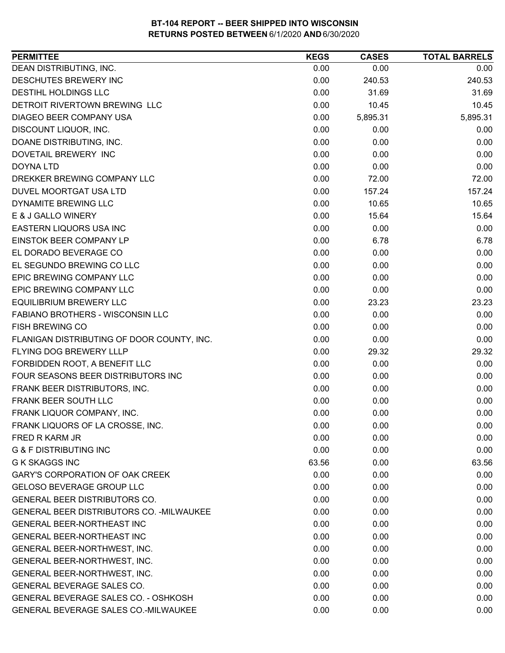| 0.00<br>0.00<br>0.00<br>240.53<br>0.00<br>240.53<br>0.00<br>31.69<br>31.69<br>10.45<br>0.00<br>10.45<br>0.00<br>5,895.31<br>5,895.31<br>0.00<br>0.00<br>0.00<br>0.00<br>0.00<br>0.00<br>0.00<br>0.00<br>0.00<br>0.00<br>0.00<br>0.00<br>0.00<br>72.00<br>72.00<br>0.00<br>157.24<br>157.24<br>0.00<br>10.65<br>10.65<br>0.00<br>15.64<br>15.64<br>0.00<br>0.00<br>0.00<br>0.00<br>6.78<br>6.78<br>0.00<br>0.00<br>0.00<br>0.00<br>0.00<br>0.00<br>0.00<br>0.00<br>0.00<br>0.00<br>0.00<br>0.00<br>0.00<br>23.23<br>23.23<br>0.00<br>0.00<br>0.00<br>0.00<br>0.00<br>0.00<br>0.00<br>0.00<br>0.00<br>0.00<br>29.32<br>29.32<br>0.00<br>0.00<br>0.00<br>0.00<br>0.00<br>0.00<br>0.00<br>0.00<br>0.00<br>0.00<br>0.00<br>0.00<br>0.00<br>0.00<br>0.00<br>0.00<br>0.00<br>0.00<br>0.00<br>0.00<br>0.00<br>0.00<br>0.00<br>0.00<br>0.00<br>63.56<br>63.56<br>0.00<br>0.00<br>0.00<br>0.00<br>0.00<br>0.00<br>0.00<br>0.00<br>0.00<br>0.00<br>0.00<br>0.00<br>0.00<br>0.00<br>0.00<br>0.00<br>0.00<br>0.00<br>0.00<br>0.00<br>0.00<br>0.00<br>0.00<br>0.00<br>0.00<br>0.00<br>0.00<br>0.00<br>0.00<br>0.00<br>0.00<br>0.00<br>0.00 | <b>PERMITTEE</b>                           | <b>KEGS</b> | <b>CASES</b> | <b>TOTAL BARRELS</b> |
|------------------------------------------------------------------------------------------------------------------------------------------------------------------------------------------------------------------------------------------------------------------------------------------------------------------------------------------------------------------------------------------------------------------------------------------------------------------------------------------------------------------------------------------------------------------------------------------------------------------------------------------------------------------------------------------------------------------------------------------------------------------------------------------------------------------------------------------------------------------------------------------------------------------------------------------------------------------------------------------------------------------------------------------------------------------------------------------------------------------------------|--------------------------------------------|-------------|--------------|----------------------|
|                                                                                                                                                                                                                                                                                                                                                                                                                                                                                                                                                                                                                                                                                                                                                                                                                                                                                                                                                                                                                                                                                                                              | DEAN DISTRIBUTING, INC.                    |             |              |                      |
|                                                                                                                                                                                                                                                                                                                                                                                                                                                                                                                                                                                                                                                                                                                                                                                                                                                                                                                                                                                                                                                                                                                              | <b>DESCHUTES BREWERY INC</b>               |             |              |                      |
|                                                                                                                                                                                                                                                                                                                                                                                                                                                                                                                                                                                                                                                                                                                                                                                                                                                                                                                                                                                                                                                                                                                              | DESTIHL HOLDINGS LLC                       |             |              |                      |
|                                                                                                                                                                                                                                                                                                                                                                                                                                                                                                                                                                                                                                                                                                                                                                                                                                                                                                                                                                                                                                                                                                                              | DETROIT RIVERTOWN BREWING LLC              |             |              |                      |
|                                                                                                                                                                                                                                                                                                                                                                                                                                                                                                                                                                                                                                                                                                                                                                                                                                                                                                                                                                                                                                                                                                                              | DIAGEO BEER COMPANY USA                    |             |              |                      |
|                                                                                                                                                                                                                                                                                                                                                                                                                                                                                                                                                                                                                                                                                                                                                                                                                                                                                                                                                                                                                                                                                                                              | DISCOUNT LIQUOR, INC.                      |             |              |                      |
|                                                                                                                                                                                                                                                                                                                                                                                                                                                                                                                                                                                                                                                                                                                                                                                                                                                                                                                                                                                                                                                                                                                              | DOANE DISTRIBUTING, INC.                   |             |              |                      |
|                                                                                                                                                                                                                                                                                                                                                                                                                                                                                                                                                                                                                                                                                                                                                                                                                                                                                                                                                                                                                                                                                                                              | DOVETAIL BREWERY INC                       |             |              |                      |
|                                                                                                                                                                                                                                                                                                                                                                                                                                                                                                                                                                                                                                                                                                                                                                                                                                                                                                                                                                                                                                                                                                                              | <b>DOYNA LTD</b>                           |             |              |                      |
|                                                                                                                                                                                                                                                                                                                                                                                                                                                                                                                                                                                                                                                                                                                                                                                                                                                                                                                                                                                                                                                                                                                              | DREKKER BREWING COMPANY LLC                |             |              |                      |
|                                                                                                                                                                                                                                                                                                                                                                                                                                                                                                                                                                                                                                                                                                                                                                                                                                                                                                                                                                                                                                                                                                                              | DUVEL MOORTGAT USA LTD                     |             |              |                      |
|                                                                                                                                                                                                                                                                                                                                                                                                                                                                                                                                                                                                                                                                                                                                                                                                                                                                                                                                                                                                                                                                                                                              | DYNAMITE BREWING LLC                       |             |              |                      |
|                                                                                                                                                                                                                                                                                                                                                                                                                                                                                                                                                                                                                                                                                                                                                                                                                                                                                                                                                                                                                                                                                                                              | E & J GALLO WINERY                         |             |              |                      |
|                                                                                                                                                                                                                                                                                                                                                                                                                                                                                                                                                                                                                                                                                                                                                                                                                                                                                                                                                                                                                                                                                                                              | EASTERN LIQUORS USA INC                    |             |              |                      |
|                                                                                                                                                                                                                                                                                                                                                                                                                                                                                                                                                                                                                                                                                                                                                                                                                                                                                                                                                                                                                                                                                                                              | EINSTOK BEER COMPANY LP                    |             |              |                      |
|                                                                                                                                                                                                                                                                                                                                                                                                                                                                                                                                                                                                                                                                                                                                                                                                                                                                                                                                                                                                                                                                                                                              | EL DORADO BEVERAGE CO                      |             |              |                      |
|                                                                                                                                                                                                                                                                                                                                                                                                                                                                                                                                                                                                                                                                                                                                                                                                                                                                                                                                                                                                                                                                                                                              | EL SEGUNDO BREWING CO LLC                  |             |              |                      |
|                                                                                                                                                                                                                                                                                                                                                                                                                                                                                                                                                                                                                                                                                                                                                                                                                                                                                                                                                                                                                                                                                                                              | EPIC BREWING COMPANY LLC                   |             |              |                      |
|                                                                                                                                                                                                                                                                                                                                                                                                                                                                                                                                                                                                                                                                                                                                                                                                                                                                                                                                                                                                                                                                                                                              | EPIC BREWING COMPANY LLC                   |             |              |                      |
|                                                                                                                                                                                                                                                                                                                                                                                                                                                                                                                                                                                                                                                                                                                                                                                                                                                                                                                                                                                                                                                                                                                              | <b>EQUILIBRIUM BREWERY LLC</b>             |             |              |                      |
|                                                                                                                                                                                                                                                                                                                                                                                                                                                                                                                                                                                                                                                                                                                                                                                                                                                                                                                                                                                                                                                                                                                              | FABIANO BROTHERS - WISCONSIN LLC           |             |              |                      |
|                                                                                                                                                                                                                                                                                                                                                                                                                                                                                                                                                                                                                                                                                                                                                                                                                                                                                                                                                                                                                                                                                                                              | FISH BREWING CO                            |             |              |                      |
|                                                                                                                                                                                                                                                                                                                                                                                                                                                                                                                                                                                                                                                                                                                                                                                                                                                                                                                                                                                                                                                                                                                              | FLANIGAN DISTRIBUTING OF DOOR COUNTY, INC. |             |              |                      |
|                                                                                                                                                                                                                                                                                                                                                                                                                                                                                                                                                                                                                                                                                                                                                                                                                                                                                                                                                                                                                                                                                                                              | FLYING DOG BREWERY LLLP                    |             |              |                      |
|                                                                                                                                                                                                                                                                                                                                                                                                                                                                                                                                                                                                                                                                                                                                                                                                                                                                                                                                                                                                                                                                                                                              | FORBIDDEN ROOT, A BENEFIT LLC              |             |              |                      |
|                                                                                                                                                                                                                                                                                                                                                                                                                                                                                                                                                                                                                                                                                                                                                                                                                                                                                                                                                                                                                                                                                                                              | FOUR SEASONS BEER DISTRIBUTORS INC         |             |              |                      |
|                                                                                                                                                                                                                                                                                                                                                                                                                                                                                                                                                                                                                                                                                                                                                                                                                                                                                                                                                                                                                                                                                                                              | FRANK BEER DISTRIBUTORS, INC.              |             |              |                      |
|                                                                                                                                                                                                                                                                                                                                                                                                                                                                                                                                                                                                                                                                                                                                                                                                                                                                                                                                                                                                                                                                                                                              | FRANK BEER SOUTH LLC                       |             |              |                      |
|                                                                                                                                                                                                                                                                                                                                                                                                                                                                                                                                                                                                                                                                                                                                                                                                                                                                                                                                                                                                                                                                                                                              | FRANK LIQUOR COMPANY, INC.                 |             |              |                      |
|                                                                                                                                                                                                                                                                                                                                                                                                                                                                                                                                                                                                                                                                                                                                                                                                                                                                                                                                                                                                                                                                                                                              | FRANK LIQUORS OF LA CROSSE, INC.           |             |              |                      |
|                                                                                                                                                                                                                                                                                                                                                                                                                                                                                                                                                                                                                                                                                                                                                                                                                                                                                                                                                                                                                                                                                                                              | FRED R KARM JR                             |             |              |                      |
|                                                                                                                                                                                                                                                                                                                                                                                                                                                                                                                                                                                                                                                                                                                                                                                                                                                                                                                                                                                                                                                                                                                              | <b>G &amp; F DISTRIBUTING INC</b>          |             |              |                      |
|                                                                                                                                                                                                                                                                                                                                                                                                                                                                                                                                                                                                                                                                                                                                                                                                                                                                                                                                                                                                                                                                                                                              | <b>G K SKAGGS INC</b>                      |             |              |                      |
|                                                                                                                                                                                                                                                                                                                                                                                                                                                                                                                                                                                                                                                                                                                                                                                                                                                                                                                                                                                                                                                                                                                              | GARY'S CORPORATION OF OAK CREEK            |             |              |                      |
|                                                                                                                                                                                                                                                                                                                                                                                                                                                                                                                                                                                                                                                                                                                                                                                                                                                                                                                                                                                                                                                                                                                              | GELOSO BEVERAGE GROUP LLC                  |             |              |                      |
|                                                                                                                                                                                                                                                                                                                                                                                                                                                                                                                                                                                                                                                                                                                                                                                                                                                                                                                                                                                                                                                                                                                              | GENERAL BEER DISTRIBUTORS CO.              |             |              |                      |
|                                                                                                                                                                                                                                                                                                                                                                                                                                                                                                                                                                                                                                                                                                                                                                                                                                                                                                                                                                                                                                                                                                                              | GENERAL BEER DISTRIBUTORS CO. - MILWAUKEE  |             |              |                      |
|                                                                                                                                                                                                                                                                                                                                                                                                                                                                                                                                                                                                                                                                                                                                                                                                                                                                                                                                                                                                                                                                                                                              | <b>GENERAL BEER-NORTHEAST INC</b>          |             |              |                      |
|                                                                                                                                                                                                                                                                                                                                                                                                                                                                                                                                                                                                                                                                                                                                                                                                                                                                                                                                                                                                                                                                                                                              | <b>GENERAL BEER-NORTHEAST INC</b>          |             |              |                      |
|                                                                                                                                                                                                                                                                                                                                                                                                                                                                                                                                                                                                                                                                                                                                                                                                                                                                                                                                                                                                                                                                                                                              | GENERAL BEER-NORTHWEST, INC.               |             |              |                      |
|                                                                                                                                                                                                                                                                                                                                                                                                                                                                                                                                                                                                                                                                                                                                                                                                                                                                                                                                                                                                                                                                                                                              | GENERAL BEER-NORTHWEST, INC.               |             |              |                      |
|                                                                                                                                                                                                                                                                                                                                                                                                                                                                                                                                                                                                                                                                                                                                                                                                                                                                                                                                                                                                                                                                                                                              | GENERAL BEER-NORTHWEST, INC.               |             |              |                      |
|                                                                                                                                                                                                                                                                                                                                                                                                                                                                                                                                                                                                                                                                                                                                                                                                                                                                                                                                                                                                                                                                                                                              | GENERAL BEVERAGE SALES CO.                 |             |              |                      |
|                                                                                                                                                                                                                                                                                                                                                                                                                                                                                                                                                                                                                                                                                                                                                                                                                                                                                                                                                                                                                                                                                                                              | GENERAL BEVERAGE SALES CO. - OSHKOSH       |             |              |                      |
|                                                                                                                                                                                                                                                                                                                                                                                                                                                                                                                                                                                                                                                                                                                                                                                                                                                                                                                                                                                                                                                                                                                              | GENERAL BEVERAGE SALES CO.-MILWAUKEE       | 0.00        | 0.00         | 0.00                 |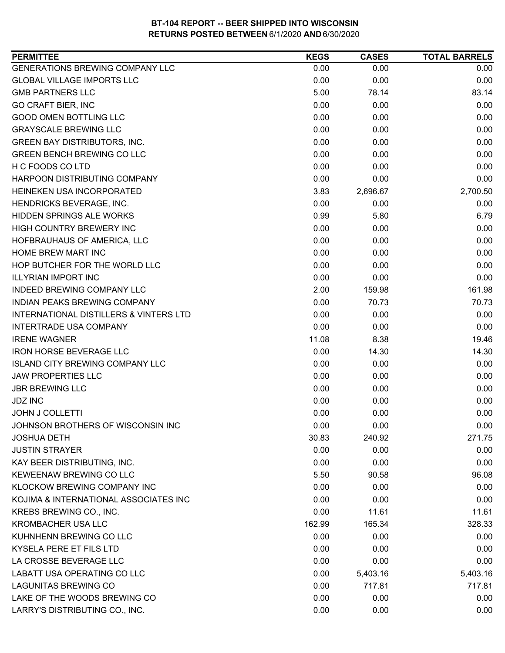| <b>GENERATIONS BREWING COMPANY LLC</b><br>0.00<br>0.00<br>0.00<br><b>GLOBAL VILLAGE IMPORTS LLC</b><br>0.00<br>0.00<br>0.00<br><b>GMB PARTNERS LLC</b><br>5.00<br>78.14<br>83.14<br>0.00<br>0.00<br>0.00<br><b>GO CRAFT BIER, INC</b><br><b>GOOD OMEN BOTTLING LLC</b><br>0.00<br>0.00<br>0.00<br><b>GRAYSCALE BREWING LLC</b><br>0.00<br>0.00<br>0.00<br><b>GREEN BAY DISTRIBUTORS, INC.</b><br>0.00<br>0.00<br>0.00<br>0.00<br><b>GREEN BENCH BREWING CO LLC</b><br>0.00<br>0.00<br>0.00<br>H C FOODS CO LTD<br>0.00<br>0.00<br>HARPOON DISTRIBUTING COMPANY<br>0.00<br>0.00<br>0.00<br>HEINEKEN USA INCORPORATED<br>3.83<br>2,696.67<br>2,700.50<br>HENDRICKS BEVERAGE, INC.<br>0.00<br>0.00<br>0.00<br>HIDDEN SPRINGS ALE WORKS<br>0.99<br>5.80<br>6.79<br>HIGH COUNTRY BREWERY INC<br>0.00<br>0.00<br>0.00<br>HOFBRAUHAUS OF AMERICA, LLC<br>0.00<br>0.00<br>0.00<br>HOME BREW MART INC<br>0.00<br>0.00<br>0.00<br>0.00<br>HOP BUTCHER FOR THE WORLD LLC<br>0.00<br>0.00<br><b>ILLYRIAN IMPORT INC</b><br>0.00<br>0.00<br>0.00<br>INDEED BREWING COMPANY LLC<br>2.00<br>161.98<br>159.98<br>0.00<br>70.73<br>70.73<br><b>INDIAN PEAKS BREWING COMPANY</b> |
|----------------------------------------------------------------------------------------------------------------------------------------------------------------------------------------------------------------------------------------------------------------------------------------------------------------------------------------------------------------------------------------------------------------------------------------------------------------------------------------------------------------------------------------------------------------------------------------------------------------------------------------------------------------------------------------------------------------------------------------------------------------------------------------------------------------------------------------------------------------------------------------------------------------------------------------------------------------------------------------------------------------------------------------------------------------------------------------------------------------------------------------------------------------|
|                                                                                                                                                                                                                                                                                                                                                                                                                                                                                                                                                                                                                                                                                                                                                                                                                                                                                                                                                                                                                                                                                                                                                                |
|                                                                                                                                                                                                                                                                                                                                                                                                                                                                                                                                                                                                                                                                                                                                                                                                                                                                                                                                                                                                                                                                                                                                                                |
|                                                                                                                                                                                                                                                                                                                                                                                                                                                                                                                                                                                                                                                                                                                                                                                                                                                                                                                                                                                                                                                                                                                                                                |
|                                                                                                                                                                                                                                                                                                                                                                                                                                                                                                                                                                                                                                                                                                                                                                                                                                                                                                                                                                                                                                                                                                                                                                |
|                                                                                                                                                                                                                                                                                                                                                                                                                                                                                                                                                                                                                                                                                                                                                                                                                                                                                                                                                                                                                                                                                                                                                                |
|                                                                                                                                                                                                                                                                                                                                                                                                                                                                                                                                                                                                                                                                                                                                                                                                                                                                                                                                                                                                                                                                                                                                                                |
|                                                                                                                                                                                                                                                                                                                                                                                                                                                                                                                                                                                                                                                                                                                                                                                                                                                                                                                                                                                                                                                                                                                                                                |
|                                                                                                                                                                                                                                                                                                                                                                                                                                                                                                                                                                                                                                                                                                                                                                                                                                                                                                                                                                                                                                                                                                                                                                |
|                                                                                                                                                                                                                                                                                                                                                                                                                                                                                                                                                                                                                                                                                                                                                                                                                                                                                                                                                                                                                                                                                                                                                                |
|                                                                                                                                                                                                                                                                                                                                                                                                                                                                                                                                                                                                                                                                                                                                                                                                                                                                                                                                                                                                                                                                                                                                                                |
|                                                                                                                                                                                                                                                                                                                                                                                                                                                                                                                                                                                                                                                                                                                                                                                                                                                                                                                                                                                                                                                                                                                                                                |
|                                                                                                                                                                                                                                                                                                                                                                                                                                                                                                                                                                                                                                                                                                                                                                                                                                                                                                                                                                                                                                                                                                                                                                |
|                                                                                                                                                                                                                                                                                                                                                                                                                                                                                                                                                                                                                                                                                                                                                                                                                                                                                                                                                                                                                                                                                                                                                                |
|                                                                                                                                                                                                                                                                                                                                                                                                                                                                                                                                                                                                                                                                                                                                                                                                                                                                                                                                                                                                                                                                                                                                                                |
|                                                                                                                                                                                                                                                                                                                                                                                                                                                                                                                                                                                                                                                                                                                                                                                                                                                                                                                                                                                                                                                                                                                                                                |
|                                                                                                                                                                                                                                                                                                                                                                                                                                                                                                                                                                                                                                                                                                                                                                                                                                                                                                                                                                                                                                                                                                                                                                |
|                                                                                                                                                                                                                                                                                                                                                                                                                                                                                                                                                                                                                                                                                                                                                                                                                                                                                                                                                                                                                                                                                                                                                                |
|                                                                                                                                                                                                                                                                                                                                                                                                                                                                                                                                                                                                                                                                                                                                                                                                                                                                                                                                                                                                                                                                                                                                                                |
|                                                                                                                                                                                                                                                                                                                                                                                                                                                                                                                                                                                                                                                                                                                                                                                                                                                                                                                                                                                                                                                                                                                                                                |
|                                                                                                                                                                                                                                                                                                                                                                                                                                                                                                                                                                                                                                                                                                                                                                                                                                                                                                                                                                                                                                                                                                                                                                |
| 0.00<br><b>INTERNATIONAL DISTILLERS &amp; VINTERS LTD</b><br>0.00<br>0.00                                                                                                                                                                                                                                                                                                                                                                                                                                                                                                                                                                                                                                                                                                                                                                                                                                                                                                                                                                                                                                                                                      |
| INTERTRADE USA COMPANY<br>0.00<br>0.00<br>0.00                                                                                                                                                                                                                                                                                                                                                                                                                                                                                                                                                                                                                                                                                                                                                                                                                                                                                                                                                                                                                                                                                                                 |
| <b>IRENE WAGNER</b><br>11.08<br>8.38<br>19.46                                                                                                                                                                                                                                                                                                                                                                                                                                                                                                                                                                                                                                                                                                                                                                                                                                                                                                                                                                                                                                                                                                                  |
| <b>IRON HORSE BEVERAGE LLC</b><br>0.00<br>14.30<br>14.30                                                                                                                                                                                                                                                                                                                                                                                                                                                                                                                                                                                                                                                                                                                                                                                                                                                                                                                                                                                                                                                                                                       |
| 0.00<br><b>ISLAND CITY BREWING COMPANY LLC</b><br>0.00<br>0.00                                                                                                                                                                                                                                                                                                                                                                                                                                                                                                                                                                                                                                                                                                                                                                                                                                                                                                                                                                                                                                                                                                 |
| <b>JAW PROPERTIES LLC</b><br>0.00<br>0.00<br>0.00                                                                                                                                                                                                                                                                                                                                                                                                                                                                                                                                                                                                                                                                                                                                                                                                                                                                                                                                                                                                                                                                                                              |
| <b>JBR BREWING LLC</b><br>0.00<br>0.00<br>0.00                                                                                                                                                                                                                                                                                                                                                                                                                                                                                                                                                                                                                                                                                                                                                                                                                                                                                                                                                                                                                                                                                                                 |
| <b>JDZ INC</b><br>0.00<br>0.00<br>0.00                                                                                                                                                                                                                                                                                                                                                                                                                                                                                                                                                                                                                                                                                                                                                                                                                                                                                                                                                                                                                                                                                                                         |
| 0.00<br>0.00<br>0.00<br><b>JOHN J COLLETTI</b>                                                                                                                                                                                                                                                                                                                                                                                                                                                                                                                                                                                                                                                                                                                                                                                                                                                                                                                                                                                                                                                                                                                 |
| JOHNSON BROTHERS OF WISCONSIN INC<br>0.00<br>0.00<br>0.00                                                                                                                                                                                                                                                                                                                                                                                                                                                                                                                                                                                                                                                                                                                                                                                                                                                                                                                                                                                                                                                                                                      |
| 30.83<br>240.92<br>271.75<br><b>JOSHUA DETH</b>                                                                                                                                                                                                                                                                                                                                                                                                                                                                                                                                                                                                                                                                                                                                                                                                                                                                                                                                                                                                                                                                                                                |
| <b>JUSTIN STRAYER</b><br>0.00<br>0.00<br>0.00                                                                                                                                                                                                                                                                                                                                                                                                                                                                                                                                                                                                                                                                                                                                                                                                                                                                                                                                                                                                                                                                                                                  |
| 0.00<br>0.00<br>KAY BEER DISTRIBUTING, INC.<br>0.00                                                                                                                                                                                                                                                                                                                                                                                                                                                                                                                                                                                                                                                                                                                                                                                                                                                                                                                                                                                                                                                                                                            |
| KEWEENAW BREWING CO LLC<br>5.50<br>90.58<br>96.08                                                                                                                                                                                                                                                                                                                                                                                                                                                                                                                                                                                                                                                                                                                                                                                                                                                                                                                                                                                                                                                                                                              |
| <b>KLOCKOW BREWING COMPANY INC</b><br>0.00<br>0.00<br>0.00                                                                                                                                                                                                                                                                                                                                                                                                                                                                                                                                                                                                                                                                                                                                                                                                                                                                                                                                                                                                                                                                                                     |
| KOJIMA & INTERNATIONAL ASSOCIATES INC<br>0.00<br>0.00<br>0.00                                                                                                                                                                                                                                                                                                                                                                                                                                                                                                                                                                                                                                                                                                                                                                                                                                                                                                                                                                                                                                                                                                  |
| 0.00<br>11.61<br>11.61<br>KREBS BREWING CO., INC.                                                                                                                                                                                                                                                                                                                                                                                                                                                                                                                                                                                                                                                                                                                                                                                                                                                                                                                                                                                                                                                                                                              |
| <b>KROMBACHER USA LLC</b><br>328.33<br>162.99<br>165.34                                                                                                                                                                                                                                                                                                                                                                                                                                                                                                                                                                                                                                                                                                                                                                                                                                                                                                                                                                                                                                                                                                        |
| KUHNHENN BREWING CO LLC<br>0.00<br>0.00<br>0.00                                                                                                                                                                                                                                                                                                                                                                                                                                                                                                                                                                                                                                                                                                                                                                                                                                                                                                                                                                                                                                                                                                                |
| KYSELA PERE ET FILS LTD<br>0.00<br>0.00<br>0.00                                                                                                                                                                                                                                                                                                                                                                                                                                                                                                                                                                                                                                                                                                                                                                                                                                                                                                                                                                                                                                                                                                                |
| LA CROSSE BEVERAGE LLC<br>0.00<br>0.00<br>0.00                                                                                                                                                                                                                                                                                                                                                                                                                                                                                                                                                                                                                                                                                                                                                                                                                                                                                                                                                                                                                                                                                                                 |
| LABATT USA OPERATING CO LLC<br>0.00<br>5,403.16<br>5,403.16                                                                                                                                                                                                                                                                                                                                                                                                                                                                                                                                                                                                                                                                                                                                                                                                                                                                                                                                                                                                                                                                                                    |
| <b>LAGUNITAS BREWING CO</b><br>0.00<br>717.81<br>717.81                                                                                                                                                                                                                                                                                                                                                                                                                                                                                                                                                                                                                                                                                                                                                                                                                                                                                                                                                                                                                                                                                                        |
| LAKE OF THE WOODS BREWING CO<br>0.00<br>0.00<br>0.00                                                                                                                                                                                                                                                                                                                                                                                                                                                                                                                                                                                                                                                                                                                                                                                                                                                                                                                                                                                                                                                                                                           |
| LARRY'S DISTRIBUTING CO., INC.<br>0.00<br>0.00<br>0.00                                                                                                                                                                                                                                                                                                                                                                                                                                                                                                                                                                                                                                                                                                                                                                                                                                                                                                                                                                                                                                                                                                         |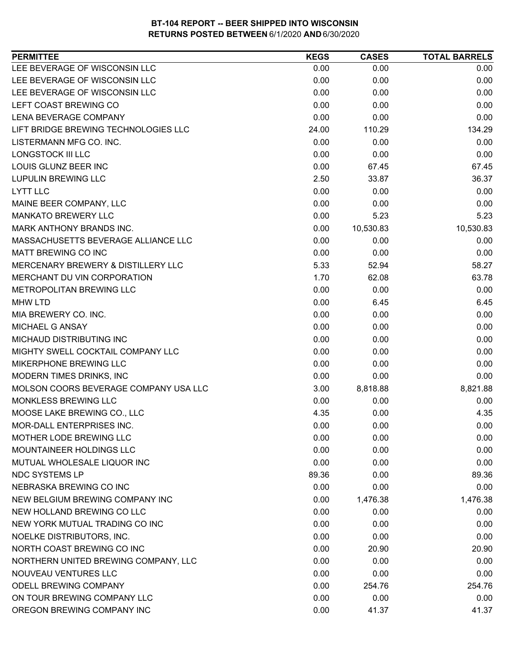| <b>PERMITTEE</b>                      | <b>KEGS</b> | <b>CASES</b> | <b>TOTAL BARRELS</b> |
|---------------------------------------|-------------|--------------|----------------------|
| LEE BEVERAGE OF WISCONSIN LLC         | 0.00        | 0.00         | 0.00                 |
| LEE BEVERAGE OF WISCONSIN LLC         | 0.00        | 0.00         | 0.00                 |
| LEE BEVERAGE OF WISCONSIN LLC         | 0.00        | 0.00         | 0.00                 |
| LEFT COAST BREWING CO                 | 0.00        | 0.00         | 0.00                 |
| LENA BEVERAGE COMPANY                 | 0.00        | 0.00         | 0.00                 |
| LIFT BRIDGE BREWING TECHNOLOGIES LLC  | 24.00       | 110.29       | 134.29               |
| LISTERMANN MFG CO. INC.               | 0.00        | 0.00         | 0.00                 |
| <b>LONGSTOCK III LLC</b>              | 0.00        | 0.00         | 0.00                 |
| LOUIS GLUNZ BEER INC                  | 0.00        | 67.45        | 67.45                |
| <b>LUPULIN BREWING LLC</b>            | 2.50        | 33.87        | 36.37                |
| <b>LYTT LLC</b>                       | 0.00        | 0.00         | 0.00                 |
| MAINE BEER COMPANY, LLC               | 0.00        | 0.00         | 0.00                 |
| <b>MANKATO BREWERY LLC</b>            | 0.00        | 5.23         | 5.23                 |
| MARK ANTHONY BRANDS INC.              | 0.00        | 10,530.83    | 10,530.83            |
| MASSACHUSETTS BEVERAGE ALLIANCE LLC   | 0.00        | 0.00         | 0.00                 |
| MATT BREWING CO INC                   | 0.00        | 0.00         | 0.00                 |
| MERCENARY BREWERY & DISTILLERY LLC    | 5.33        | 52.94        | 58.27                |
| MERCHANT DU VIN CORPORATION           | 1.70        | 62.08        | 63.78                |
| METROPOLITAN BREWING LLC              | 0.00        | 0.00         | 0.00                 |
| <b>MHW LTD</b>                        | 0.00        | 6.45         | 6.45                 |
| MIA BREWERY CO. INC.                  | 0.00        | 0.00         | 0.00                 |
| MICHAEL G ANSAY                       | 0.00        | 0.00         | 0.00                 |
| MICHAUD DISTRIBUTING INC              | 0.00        | 0.00         | 0.00                 |
| MIGHTY SWELL COCKTAIL COMPANY LLC     | 0.00        | 0.00         | 0.00                 |
| MIKERPHONE BREWING LLC                | 0.00        | 0.00         | 0.00                 |
| MODERN TIMES DRINKS, INC              | 0.00        | 0.00         | 0.00                 |
| MOLSON COORS BEVERAGE COMPANY USA LLC | 3.00        | 8,818.88     | 8,821.88             |
| MONKLESS BREWING LLC                  | 0.00        | 0.00         | 0.00                 |
| MOOSE LAKE BREWING CO., LLC           | 4.35        | 0.00         | 4.35                 |
| <b>MOR-DALL ENTERPRISES INC.</b>      | 0.00        | 0.00         | 0.00                 |
| MOTHER LODE BREWING LLC               | 0.00        | 0.00         | 0.00                 |
| MOUNTAINEER HOLDINGS LLC              | 0.00        | 0.00         | 0.00                 |
| MUTUAL WHOLESALE LIQUOR INC           | 0.00        | 0.00         | 0.00                 |
| <b>NDC SYSTEMS LP</b>                 | 89.36       | 0.00         | 89.36                |
| NEBRASKA BREWING CO INC               | 0.00        | 0.00         | 0.00                 |
| NEW BELGIUM BREWING COMPANY INC       | 0.00        | 1,476.38     | 1,476.38             |
| NEW HOLLAND BREWING CO LLC            | 0.00        | 0.00         | 0.00                 |
| NEW YORK MUTUAL TRADING CO INC        | 0.00        | 0.00         | 0.00                 |
| NOELKE DISTRIBUTORS, INC.             | 0.00        | 0.00         | 0.00                 |
| NORTH COAST BREWING CO INC            | 0.00        | 20.90        | 20.90                |
| NORTHERN UNITED BREWING COMPANY, LLC  | 0.00        | 0.00         | 0.00                 |
| NOUVEAU VENTURES LLC                  | 0.00        | 0.00         | 0.00                 |
| <b>ODELL BREWING COMPANY</b>          | 0.00        | 254.76       | 254.76               |
| ON TOUR BREWING COMPANY LLC           | 0.00        | 0.00         | 0.00                 |
| OREGON BREWING COMPANY INC            | 0.00        | 41.37        | 41.37                |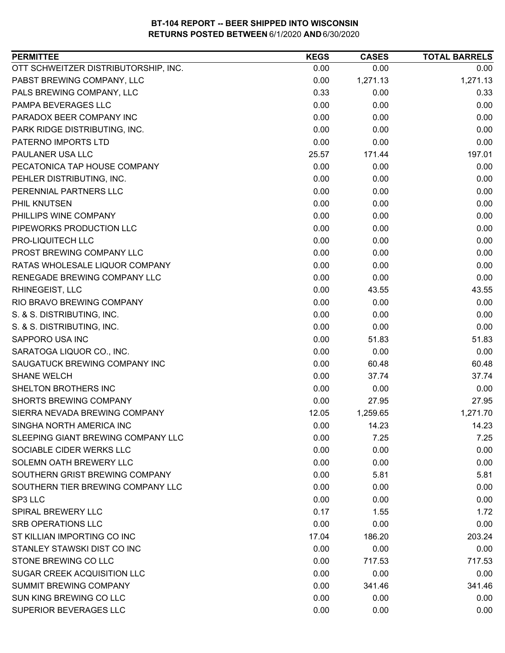| OTT SCHWEITZER DISTRIBUTORSHIP, INC.<br>0.00<br>0.00<br>0.00<br>PABST BREWING COMPANY, LLC<br>0.00<br>1,271.13<br>1,271.13<br>PALS BREWING COMPANY, LLC<br>0.33<br>0.00<br>0.33<br>0.00<br>PAMPA BEVERAGES LLC<br>0.00<br>0.00<br>PARADOX BEER COMPANY INC<br>0.00<br>0.00<br>0.00<br>PARK RIDGE DISTRIBUTING, INC.<br>0.00<br>0.00<br>0.00<br>PATERNO IMPORTS LTD<br>0.00<br>0.00<br>0.00<br>197.01<br>25.57<br>171.44<br>0.00<br>0.00<br>0.00<br>PEHLER DISTRIBUTING, INC.<br>0.00<br>0.00<br>0.00<br>PERENNIAL PARTNERS LLC<br>0.00<br>0.00<br>0.00<br>0.00<br>0.00<br>0.00<br>0.00<br>0.00<br>0.00<br>0.00<br>0.00<br>0.00<br>PRO-LIQUITECH LLC<br>0.00<br>0.00<br>0.00<br>0.00<br>PROST BREWING COMPANY LLC<br>0.00<br>0.00<br>0.00<br>RATAS WHOLESALE LIQUOR COMPANY<br>0.00<br>0.00<br>RENEGADE BREWING COMPANY LLC<br>0.00<br>0.00<br>0.00<br>RHINEGEIST, LLC<br>0.00<br>43.55<br>43.55<br>RIO BRAVO BREWING COMPANY<br>0.00<br>0.00<br>0.00<br>0.00<br>S. & S. DISTRIBUTING, INC.<br>0.00<br>0.00<br>0.00<br>S. & S. DISTRIBUTING, INC.<br>0.00<br>0.00<br>SAPPORO USA INC<br>0.00<br>51.83<br>51.83<br>0.00<br>SARATOGA LIQUOR CO., INC.<br>0.00<br>0.00<br>0.00<br>60.48<br>60.48<br>SAUGATUCK BREWING COMPANY INC<br><b>SHANE WELCH</b><br>0.00<br>37.74<br>37.74<br>SHELTON BROTHERS INC<br>0.00<br>0.00<br>0.00<br>SHORTS BREWING COMPANY<br>0.00<br>27.95<br>27.95<br>SIERRA NEVADA BREWING COMPANY<br>12.05<br>1,259.65<br>1,271.70<br>SINGHA NORTH AMERICA INC<br>0.00<br>14.23<br>14.23<br>0.00<br>7.25<br>7.25<br>SLEEPING GIANT BREWING COMPANY LLC<br>SOCIABLE CIDER WERKS LLC<br>0.00<br>0.00<br>0.00<br>SOLEMN OATH BREWERY LLC<br>0.00<br>0.00<br>0.00<br>SOUTHERN GRIST BREWING COMPANY<br>5.81<br>0.00<br>5.81<br>SOUTHERN TIER BREWING COMPANY LLC<br>0.00<br>0.00<br>0.00<br>SP3 LLC<br>0.00<br>0.00<br>0.00<br>0.17<br><b>SPIRAL BREWERY LLC</b><br>1.55<br>1.72<br>0.00<br>0.00<br>0.00<br>ST KILLIAN IMPORTING CO INC<br>17.04<br>186.20<br>203.24<br>STANLEY STAWSKI DIST CO INC<br>0.00<br>0.00<br>0.00<br>STONE BREWING CO LLC<br>0.00<br>717.53<br>717.53<br>SUGAR CREEK ACQUISITION LLC<br>0.00<br>0.00<br>0.00<br>SUMMIT BREWING COMPANY<br>0.00<br>341.46<br>341.46 | <b>PERMITTEE</b>             | <b>KEGS</b> | <b>CASES</b> | <b>TOTAL BARRELS</b> |
|-----------------------------------------------------------------------------------------------------------------------------------------------------------------------------------------------------------------------------------------------------------------------------------------------------------------------------------------------------------------------------------------------------------------------------------------------------------------------------------------------------------------------------------------------------------------------------------------------------------------------------------------------------------------------------------------------------------------------------------------------------------------------------------------------------------------------------------------------------------------------------------------------------------------------------------------------------------------------------------------------------------------------------------------------------------------------------------------------------------------------------------------------------------------------------------------------------------------------------------------------------------------------------------------------------------------------------------------------------------------------------------------------------------------------------------------------------------------------------------------------------------------------------------------------------------------------------------------------------------------------------------------------------------------------------------------------------------------------------------------------------------------------------------------------------------------------------------------------------------------------------------------------------------------------------------------------------------------------------------------------------------------------------------------------------------------------------------------------------------------------------------------------------------------------------------------------------------|------------------------------|-------------|--------------|----------------------|
|                                                                                                                                                                                                                                                                                                                                                                                                                                                                                                                                                                                                                                                                                                                                                                                                                                                                                                                                                                                                                                                                                                                                                                                                                                                                                                                                                                                                                                                                                                                                                                                                                                                                                                                                                                                                                                                                                                                                                                                                                                                                                                                                                                                                           |                              |             |              |                      |
|                                                                                                                                                                                                                                                                                                                                                                                                                                                                                                                                                                                                                                                                                                                                                                                                                                                                                                                                                                                                                                                                                                                                                                                                                                                                                                                                                                                                                                                                                                                                                                                                                                                                                                                                                                                                                                                                                                                                                                                                                                                                                                                                                                                                           |                              |             |              |                      |
|                                                                                                                                                                                                                                                                                                                                                                                                                                                                                                                                                                                                                                                                                                                                                                                                                                                                                                                                                                                                                                                                                                                                                                                                                                                                                                                                                                                                                                                                                                                                                                                                                                                                                                                                                                                                                                                                                                                                                                                                                                                                                                                                                                                                           |                              |             |              |                      |
|                                                                                                                                                                                                                                                                                                                                                                                                                                                                                                                                                                                                                                                                                                                                                                                                                                                                                                                                                                                                                                                                                                                                                                                                                                                                                                                                                                                                                                                                                                                                                                                                                                                                                                                                                                                                                                                                                                                                                                                                                                                                                                                                                                                                           |                              |             |              |                      |
|                                                                                                                                                                                                                                                                                                                                                                                                                                                                                                                                                                                                                                                                                                                                                                                                                                                                                                                                                                                                                                                                                                                                                                                                                                                                                                                                                                                                                                                                                                                                                                                                                                                                                                                                                                                                                                                                                                                                                                                                                                                                                                                                                                                                           |                              |             |              |                      |
|                                                                                                                                                                                                                                                                                                                                                                                                                                                                                                                                                                                                                                                                                                                                                                                                                                                                                                                                                                                                                                                                                                                                                                                                                                                                                                                                                                                                                                                                                                                                                                                                                                                                                                                                                                                                                                                                                                                                                                                                                                                                                                                                                                                                           |                              |             |              |                      |
|                                                                                                                                                                                                                                                                                                                                                                                                                                                                                                                                                                                                                                                                                                                                                                                                                                                                                                                                                                                                                                                                                                                                                                                                                                                                                                                                                                                                                                                                                                                                                                                                                                                                                                                                                                                                                                                                                                                                                                                                                                                                                                                                                                                                           |                              |             |              |                      |
|                                                                                                                                                                                                                                                                                                                                                                                                                                                                                                                                                                                                                                                                                                                                                                                                                                                                                                                                                                                                                                                                                                                                                                                                                                                                                                                                                                                                                                                                                                                                                                                                                                                                                                                                                                                                                                                                                                                                                                                                                                                                                                                                                                                                           | PAULANER USA LLC             |             |              |                      |
|                                                                                                                                                                                                                                                                                                                                                                                                                                                                                                                                                                                                                                                                                                                                                                                                                                                                                                                                                                                                                                                                                                                                                                                                                                                                                                                                                                                                                                                                                                                                                                                                                                                                                                                                                                                                                                                                                                                                                                                                                                                                                                                                                                                                           | PECATONICA TAP HOUSE COMPANY |             |              |                      |
|                                                                                                                                                                                                                                                                                                                                                                                                                                                                                                                                                                                                                                                                                                                                                                                                                                                                                                                                                                                                                                                                                                                                                                                                                                                                                                                                                                                                                                                                                                                                                                                                                                                                                                                                                                                                                                                                                                                                                                                                                                                                                                                                                                                                           |                              |             |              |                      |
|                                                                                                                                                                                                                                                                                                                                                                                                                                                                                                                                                                                                                                                                                                                                                                                                                                                                                                                                                                                                                                                                                                                                                                                                                                                                                                                                                                                                                                                                                                                                                                                                                                                                                                                                                                                                                                                                                                                                                                                                                                                                                                                                                                                                           |                              |             |              |                      |
|                                                                                                                                                                                                                                                                                                                                                                                                                                                                                                                                                                                                                                                                                                                                                                                                                                                                                                                                                                                                                                                                                                                                                                                                                                                                                                                                                                                                                                                                                                                                                                                                                                                                                                                                                                                                                                                                                                                                                                                                                                                                                                                                                                                                           | PHIL KNUTSEN                 |             |              |                      |
|                                                                                                                                                                                                                                                                                                                                                                                                                                                                                                                                                                                                                                                                                                                                                                                                                                                                                                                                                                                                                                                                                                                                                                                                                                                                                                                                                                                                                                                                                                                                                                                                                                                                                                                                                                                                                                                                                                                                                                                                                                                                                                                                                                                                           | PHILLIPS WINE COMPANY        |             |              |                      |
|                                                                                                                                                                                                                                                                                                                                                                                                                                                                                                                                                                                                                                                                                                                                                                                                                                                                                                                                                                                                                                                                                                                                                                                                                                                                                                                                                                                                                                                                                                                                                                                                                                                                                                                                                                                                                                                                                                                                                                                                                                                                                                                                                                                                           | PIPEWORKS PRODUCTION LLC     |             |              |                      |
|                                                                                                                                                                                                                                                                                                                                                                                                                                                                                                                                                                                                                                                                                                                                                                                                                                                                                                                                                                                                                                                                                                                                                                                                                                                                                                                                                                                                                                                                                                                                                                                                                                                                                                                                                                                                                                                                                                                                                                                                                                                                                                                                                                                                           |                              |             |              |                      |
|                                                                                                                                                                                                                                                                                                                                                                                                                                                                                                                                                                                                                                                                                                                                                                                                                                                                                                                                                                                                                                                                                                                                                                                                                                                                                                                                                                                                                                                                                                                                                                                                                                                                                                                                                                                                                                                                                                                                                                                                                                                                                                                                                                                                           |                              |             |              |                      |
|                                                                                                                                                                                                                                                                                                                                                                                                                                                                                                                                                                                                                                                                                                                                                                                                                                                                                                                                                                                                                                                                                                                                                                                                                                                                                                                                                                                                                                                                                                                                                                                                                                                                                                                                                                                                                                                                                                                                                                                                                                                                                                                                                                                                           |                              |             |              |                      |
|                                                                                                                                                                                                                                                                                                                                                                                                                                                                                                                                                                                                                                                                                                                                                                                                                                                                                                                                                                                                                                                                                                                                                                                                                                                                                                                                                                                                                                                                                                                                                                                                                                                                                                                                                                                                                                                                                                                                                                                                                                                                                                                                                                                                           |                              |             |              |                      |
|                                                                                                                                                                                                                                                                                                                                                                                                                                                                                                                                                                                                                                                                                                                                                                                                                                                                                                                                                                                                                                                                                                                                                                                                                                                                                                                                                                                                                                                                                                                                                                                                                                                                                                                                                                                                                                                                                                                                                                                                                                                                                                                                                                                                           |                              |             |              |                      |
|                                                                                                                                                                                                                                                                                                                                                                                                                                                                                                                                                                                                                                                                                                                                                                                                                                                                                                                                                                                                                                                                                                                                                                                                                                                                                                                                                                                                                                                                                                                                                                                                                                                                                                                                                                                                                                                                                                                                                                                                                                                                                                                                                                                                           |                              |             |              |                      |
|                                                                                                                                                                                                                                                                                                                                                                                                                                                                                                                                                                                                                                                                                                                                                                                                                                                                                                                                                                                                                                                                                                                                                                                                                                                                                                                                                                                                                                                                                                                                                                                                                                                                                                                                                                                                                                                                                                                                                                                                                                                                                                                                                                                                           |                              |             |              |                      |
|                                                                                                                                                                                                                                                                                                                                                                                                                                                                                                                                                                                                                                                                                                                                                                                                                                                                                                                                                                                                                                                                                                                                                                                                                                                                                                                                                                                                                                                                                                                                                                                                                                                                                                                                                                                                                                                                                                                                                                                                                                                                                                                                                                                                           |                              |             |              |                      |
|                                                                                                                                                                                                                                                                                                                                                                                                                                                                                                                                                                                                                                                                                                                                                                                                                                                                                                                                                                                                                                                                                                                                                                                                                                                                                                                                                                                                                                                                                                                                                                                                                                                                                                                                                                                                                                                                                                                                                                                                                                                                                                                                                                                                           |                              |             |              |                      |
|                                                                                                                                                                                                                                                                                                                                                                                                                                                                                                                                                                                                                                                                                                                                                                                                                                                                                                                                                                                                                                                                                                                                                                                                                                                                                                                                                                                                                                                                                                                                                                                                                                                                                                                                                                                                                                                                                                                                                                                                                                                                                                                                                                                                           |                              |             |              |                      |
|                                                                                                                                                                                                                                                                                                                                                                                                                                                                                                                                                                                                                                                                                                                                                                                                                                                                                                                                                                                                                                                                                                                                                                                                                                                                                                                                                                                                                                                                                                                                                                                                                                                                                                                                                                                                                                                                                                                                                                                                                                                                                                                                                                                                           |                              |             |              |                      |
|                                                                                                                                                                                                                                                                                                                                                                                                                                                                                                                                                                                                                                                                                                                                                                                                                                                                                                                                                                                                                                                                                                                                                                                                                                                                                                                                                                                                                                                                                                                                                                                                                                                                                                                                                                                                                                                                                                                                                                                                                                                                                                                                                                                                           |                              |             |              |                      |
|                                                                                                                                                                                                                                                                                                                                                                                                                                                                                                                                                                                                                                                                                                                                                                                                                                                                                                                                                                                                                                                                                                                                                                                                                                                                                                                                                                                                                                                                                                                                                                                                                                                                                                                                                                                                                                                                                                                                                                                                                                                                                                                                                                                                           |                              |             |              |                      |
|                                                                                                                                                                                                                                                                                                                                                                                                                                                                                                                                                                                                                                                                                                                                                                                                                                                                                                                                                                                                                                                                                                                                                                                                                                                                                                                                                                                                                                                                                                                                                                                                                                                                                                                                                                                                                                                                                                                                                                                                                                                                                                                                                                                                           |                              |             |              |                      |
|                                                                                                                                                                                                                                                                                                                                                                                                                                                                                                                                                                                                                                                                                                                                                                                                                                                                                                                                                                                                                                                                                                                                                                                                                                                                                                                                                                                                                                                                                                                                                                                                                                                                                                                                                                                                                                                                                                                                                                                                                                                                                                                                                                                                           |                              |             |              |                      |
|                                                                                                                                                                                                                                                                                                                                                                                                                                                                                                                                                                                                                                                                                                                                                                                                                                                                                                                                                                                                                                                                                                                                                                                                                                                                                                                                                                                                                                                                                                                                                                                                                                                                                                                                                                                                                                                                                                                                                                                                                                                                                                                                                                                                           |                              |             |              |                      |
|                                                                                                                                                                                                                                                                                                                                                                                                                                                                                                                                                                                                                                                                                                                                                                                                                                                                                                                                                                                                                                                                                                                                                                                                                                                                                                                                                                                                                                                                                                                                                                                                                                                                                                                                                                                                                                                                                                                                                                                                                                                                                                                                                                                                           |                              |             |              |                      |
|                                                                                                                                                                                                                                                                                                                                                                                                                                                                                                                                                                                                                                                                                                                                                                                                                                                                                                                                                                                                                                                                                                                                                                                                                                                                                                                                                                                                                                                                                                                                                                                                                                                                                                                                                                                                                                                                                                                                                                                                                                                                                                                                                                                                           |                              |             |              |                      |
|                                                                                                                                                                                                                                                                                                                                                                                                                                                                                                                                                                                                                                                                                                                                                                                                                                                                                                                                                                                                                                                                                                                                                                                                                                                                                                                                                                                                                                                                                                                                                                                                                                                                                                                                                                                                                                                                                                                                                                                                                                                                                                                                                                                                           |                              |             |              |                      |
|                                                                                                                                                                                                                                                                                                                                                                                                                                                                                                                                                                                                                                                                                                                                                                                                                                                                                                                                                                                                                                                                                                                                                                                                                                                                                                                                                                                                                                                                                                                                                                                                                                                                                                                                                                                                                                                                                                                                                                                                                                                                                                                                                                                                           |                              |             |              |                      |
|                                                                                                                                                                                                                                                                                                                                                                                                                                                                                                                                                                                                                                                                                                                                                                                                                                                                                                                                                                                                                                                                                                                                                                                                                                                                                                                                                                                                                                                                                                                                                                                                                                                                                                                                                                                                                                                                                                                                                                                                                                                                                                                                                                                                           |                              |             |              |                      |
|                                                                                                                                                                                                                                                                                                                                                                                                                                                                                                                                                                                                                                                                                                                                                                                                                                                                                                                                                                                                                                                                                                                                                                                                                                                                                                                                                                                                                                                                                                                                                                                                                                                                                                                                                                                                                                                                                                                                                                                                                                                                                                                                                                                                           |                              |             |              |                      |
|                                                                                                                                                                                                                                                                                                                                                                                                                                                                                                                                                                                                                                                                                                                                                                                                                                                                                                                                                                                                                                                                                                                                                                                                                                                                                                                                                                                                                                                                                                                                                                                                                                                                                                                                                                                                                                                                                                                                                                                                                                                                                                                                                                                                           |                              |             |              |                      |
|                                                                                                                                                                                                                                                                                                                                                                                                                                                                                                                                                                                                                                                                                                                                                                                                                                                                                                                                                                                                                                                                                                                                                                                                                                                                                                                                                                                                                                                                                                                                                                                                                                                                                                                                                                                                                                                                                                                                                                                                                                                                                                                                                                                                           | <b>SRB OPERATIONS LLC</b>    |             |              |                      |
|                                                                                                                                                                                                                                                                                                                                                                                                                                                                                                                                                                                                                                                                                                                                                                                                                                                                                                                                                                                                                                                                                                                                                                                                                                                                                                                                                                                                                                                                                                                                                                                                                                                                                                                                                                                                                                                                                                                                                                                                                                                                                                                                                                                                           |                              |             |              |                      |
|                                                                                                                                                                                                                                                                                                                                                                                                                                                                                                                                                                                                                                                                                                                                                                                                                                                                                                                                                                                                                                                                                                                                                                                                                                                                                                                                                                                                                                                                                                                                                                                                                                                                                                                                                                                                                                                                                                                                                                                                                                                                                                                                                                                                           |                              |             |              |                      |
|                                                                                                                                                                                                                                                                                                                                                                                                                                                                                                                                                                                                                                                                                                                                                                                                                                                                                                                                                                                                                                                                                                                                                                                                                                                                                                                                                                                                                                                                                                                                                                                                                                                                                                                                                                                                                                                                                                                                                                                                                                                                                                                                                                                                           |                              |             |              |                      |
|                                                                                                                                                                                                                                                                                                                                                                                                                                                                                                                                                                                                                                                                                                                                                                                                                                                                                                                                                                                                                                                                                                                                                                                                                                                                                                                                                                                                                                                                                                                                                                                                                                                                                                                                                                                                                                                                                                                                                                                                                                                                                                                                                                                                           |                              |             |              |                      |
|                                                                                                                                                                                                                                                                                                                                                                                                                                                                                                                                                                                                                                                                                                                                                                                                                                                                                                                                                                                                                                                                                                                                                                                                                                                                                                                                                                                                                                                                                                                                                                                                                                                                                                                                                                                                                                                                                                                                                                                                                                                                                                                                                                                                           |                              |             |              |                      |
|                                                                                                                                                                                                                                                                                                                                                                                                                                                                                                                                                                                                                                                                                                                                                                                                                                                                                                                                                                                                                                                                                                                                                                                                                                                                                                                                                                                                                                                                                                                                                                                                                                                                                                                                                                                                                                                                                                                                                                                                                                                                                                                                                                                                           | SUN KING BREWING CO LLC      | 0.00        | 0.00         | 0.00                 |
| SUPERIOR BEVERAGES LLC<br>0.00<br>0.00<br>0.00                                                                                                                                                                                                                                                                                                                                                                                                                                                                                                                                                                                                                                                                                                                                                                                                                                                                                                                                                                                                                                                                                                                                                                                                                                                                                                                                                                                                                                                                                                                                                                                                                                                                                                                                                                                                                                                                                                                                                                                                                                                                                                                                                            |                              |             |              |                      |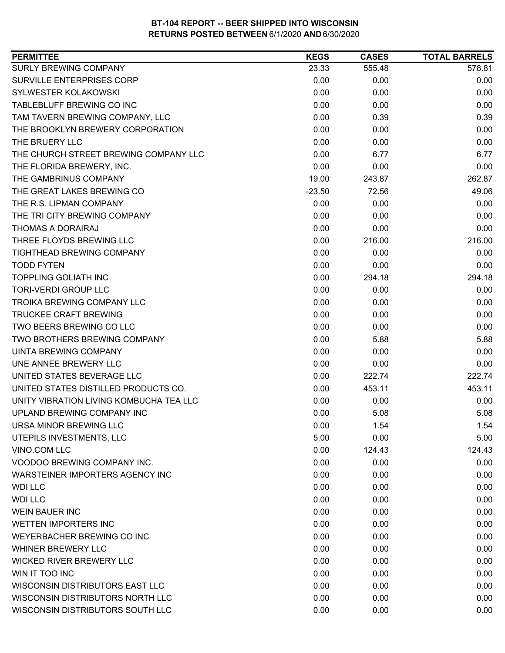| SURLY BREWING COMPANY<br>555.48<br>578.81<br>23.33<br>SURVILLE ENTERPRISES CORP<br>0.00<br>0.00<br>0.00<br><b>SYLWESTER KOLAKOWSKI</b><br>0.00<br>0.00<br>0.00<br>TABLEBLUFF BREWING CO INC<br>0.00<br>0.00<br>0.00<br>TAM TAVERN BREWING COMPANY, LLC<br>0.00<br>0.39<br>0.39<br>THE BROOKLYN BREWERY CORPORATION<br>0.00<br>0.00<br>0.00<br>THE BRUERY LLC<br>0.00<br>0.00<br>0.00<br>THE CHURCH STREET BREWING COMPANY LLC<br>0.00<br>6.77<br>6.77<br>THE FLORIDA BREWERY, INC.<br>0.00<br>0.00<br>0.00<br>THE GAMBRINUS COMPANY<br>262.87<br>19.00<br>243.87<br>THE GREAT LAKES BREWING CO<br>49.06<br>$-23.50$<br>72.56<br>0.00<br>THE R.S. LIPMAN COMPANY<br>0.00<br>0.00<br>THE TRI CITY BREWING COMPANY<br>0.00<br>0.00<br>0.00<br>THOMAS A DORAIRAJ<br>0.00<br>0.00<br>0.00<br>216.00<br>THREE FLOYDS BREWING LLC<br>0.00<br>216.00<br>TIGHTHEAD BREWING COMPANY<br>0.00<br>0.00<br>0.00<br>0.00<br>0.00<br>0.00<br><b>TODD FYTEN</b><br><b>TOPPLING GOLIATH INC</b><br>294.18<br>0.00<br>294.18<br><b>TORI-VERDI GROUP LLC</b><br>0.00<br>0.00<br>0.00<br><b>TROIKA BREWING COMPANY LLC</b><br>0.00<br>0.00<br>0.00<br><b>TRUCKEE CRAFT BREWING</b><br>0.00<br>0.00<br>0.00<br>TWO BEERS BREWING CO LLC<br>0.00<br>0.00<br>0.00<br>TWO BROTHERS BREWING COMPANY<br>5.88<br>0.00<br>5.88<br>UINTA BREWING COMPANY<br>0.00<br>0.00<br>0.00<br>UNE ANNEE BREWERY LLC<br>0.00<br>0.00<br>0.00<br>UNITED STATES BEVERAGE LLC<br>222.74<br>0.00<br>222.74<br>UNITED STATES DISTILLED PRODUCTS CO.<br>453.11<br>453.11<br>0.00<br>UNITY VIBRATION LIVING KOMBUCHA TEA LLC<br>0.00<br>0.00<br>0.00<br>UPLAND BREWING COMPANY INC<br>0.00<br>5.08<br>5.08<br>URSA MINOR BREWING LLC<br>0.00<br>1.54<br>1.54<br>5.00<br>5.00<br>UTEPILS INVESTMENTS, LLC<br>0.00<br>VINO.COM LLC<br>0.00<br>124.43<br>124.43<br>VOODOO BREWING COMPANY INC.<br>0.00<br>0.00<br>0.00<br>WARSTEINER IMPORTERS AGENCY INC<br>0.00<br>0.00<br>0.00<br><b>WDI LLC</b><br>0.00<br>0.00<br>0.00<br><b>WDI LLC</b><br>0.00<br>0.00<br>0.00<br><b>WEIN BAUER INC</b><br>0.00<br>0.00<br>0.00<br>WETTEN IMPORTERS INC<br>0.00<br>0.00<br>0.00<br>WEYERBACHER BREWING CO INC<br>0.00<br>0.00<br>0.00<br>WHINER BREWERY LLC<br>0.00<br>0.00<br>0.00<br>WICKED RIVER BREWERY LLC<br>0.00<br>0.00<br>0.00<br>WIN IT TOO INC<br>0.00<br>0.00<br>0.00<br>WISCONSIN DISTRIBUTORS EAST LLC<br>0.00<br>0.00<br>0.00<br>WISCONSIN DISTRIBUTORS NORTH LLC<br>0.00<br>0.00<br>0.00<br>WISCONSIN DISTRIBUTORS SOUTH LLC<br>0.00<br>0.00<br>0.00 | <b>PERMITTEE</b> | <b>KEGS</b> | <b>CASES</b> | <b>TOTAL BARRELS</b> |
|----------------------------------------------------------------------------------------------------------------------------------------------------------------------------------------------------------------------------------------------------------------------------------------------------------------------------------------------------------------------------------------------------------------------------------------------------------------------------------------------------------------------------------------------------------------------------------------------------------------------------------------------------------------------------------------------------------------------------------------------------------------------------------------------------------------------------------------------------------------------------------------------------------------------------------------------------------------------------------------------------------------------------------------------------------------------------------------------------------------------------------------------------------------------------------------------------------------------------------------------------------------------------------------------------------------------------------------------------------------------------------------------------------------------------------------------------------------------------------------------------------------------------------------------------------------------------------------------------------------------------------------------------------------------------------------------------------------------------------------------------------------------------------------------------------------------------------------------------------------------------------------------------------------------------------------------------------------------------------------------------------------------------------------------------------------------------------------------------------------------------------------------------------------------------------------------------------------------------------------------------------------------------------------------------------------------------------------------------------------------------------------------------------------------------------------------------------------------------------------------------------|------------------|-------------|--------------|----------------------|
|                                                                                                                                                                                                                                                                                                                                                                                                                                                                                                                                                                                                                                                                                                                                                                                                                                                                                                                                                                                                                                                                                                                                                                                                                                                                                                                                                                                                                                                                                                                                                                                                                                                                                                                                                                                                                                                                                                                                                                                                                                                                                                                                                                                                                                                                                                                                                                                                                                                                                                          |                  |             |              |                      |
|                                                                                                                                                                                                                                                                                                                                                                                                                                                                                                                                                                                                                                                                                                                                                                                                                                                                                                                                                                                                                                                                                                                                                                                                                                                                                                                                                                                                                                                                                                                                                                                                                                                                                                                                                                                                                                                                                                                                                                                                                                                                                                                                                                                                                                                                                                                                                                                                                                                                                                          |                  |             |              |                      |
|                                                                                                                                                                                                                                                                                                                                                                                                                                                                                                                                                                                                                                                                                                                                                                                                                                                                                                                                                                                                                                                                                                                                                                                                                                                                                                                                                                                                                                                                                                                                                                                                                                                                                                                                                                                                                                                                                                                                                                                                                                                                                                                                                                                                                                                                                                                                                                                                                                                                                                          |                  |             |              |                      |
|                                                                                                                                                                                                                                                                                                                                                                                                                                                                                                                                                                                                                                                                                                                                                                                                                                                                                                                                                                                                                                                                                                                                                                                                                                                                                                                                                                                                                                                                                                                                                                                                                                                                                                                                                                                                                                                                                                                                                                                                                                                                                                                                                                                                                                                                                                                                                                                                                                                                                                          |                  |             |              |                      |
|                                                                                                                                                                                                                                                                                                                                                                                                                                                                                                                                                                                                                                                                                                                                                                                                                                                                                                                                                                                                                                                                                                                                                                                                                                                                                                                                                                                                                                                                                                                                                                                                                                                                                                                                                                                                                                                                                                                                                                                                                                                                                                                                                                                                                                                                                                                                                                                                                                                                                                          |                  |             |              |                      |
|                                                                                                                                                                                                                                                                                                                                                                                                                                                                                                                                                                                                                                                                                                                                                                                                                                                                                                                                                                                                                                                                                                                                                                                                                                                                                                                                                                                                                                                                                                                                                                                                                                                                                                                                                                                                                                                                                                                                                                                                                                                                                                                                                                                                                                                                                                                                                                                                                                                                                                          |                  |             |              |                      |
|                                                                                                                                                                                                                                                                                                                                                                                                                                                                                                                                                                                                                                                                                                                                                                                                                                                                                                                                                                                                                                                                                                                                                                                                                                                                                                                                                                                                                                                                                                                                                                                                                                                                                                                                                                                                                                                                                                                                                                                                                                                                                                                                                                                                                                                                                                                                                                                                                                                                                                          |                  |             |              |                      |
|                                                                                                                                                                                                                                                                                                                                                                                                                                                                                                                                                                                                                                                                                                                                                                                                                                                                                                                                                                                                                                                                                                                                                                                                                                                                                                                                                                                                                                                                                                                                                                                                                                                                                                                                                                                                                                                                                                                                                                                                                                                                                                                                                                                                                                                                                                                                                                                                                                                                                                          |                  |             |              |                      |
|                                                                                                                                                                                                                                                                                                                                                                                                                                                                                                                                                                                                                                                                                                                                                                                                                                                                                                                                                                                                                                                                                                                                                                                                                                                                                                                                                                                                                                                                                                                                                                                                                                                                                                                                                                                                                                                                                                                                                                                                                                                                                                                                                                                                                                                                                                                                                                                                                                                                                                          |                  |             |              |                      |
|                                                                                                                                                                                                                                                                                                                                                                                                                                                                                                                                                                                                                                                                                                                                                                                                                                                                                                                                                                                                                                                                                                                                                                                                                                                                                                                                                                                                                                                                                                                                                                                                                                                                                                                                                                                                                                                                                                                                                                                                                                                                                                                                                                                                                                                                                                                                                                                                                                                                                                          |                  |             |              |                      |
|                                                                                                                                                                                                                                                                                                                                                                                                                                                                                                                                                                                                                                                                                                                                                                                                                                                                                                                                                                                                                                                                                                                                                                                                                                                                                                                                                                                                                                                                                                                                                                                                                                                                                                                                                                                                                                                                                                                                                                                                                                                                                                                                                                                                                                                                                                                                                                                                                                                                                                          |                  |             |              |                      |
|                                                                                                                                                                                                                                                                                                                                                                                                                                                                                                                                                                                                                                                                                                                                                                                                                                                                                                                                                                                                                                                                                                                                                                                                                                                                                                                                                                                                                                                                                                                                                                                                                                                                                                                                                                                                                                                                                                                                                                                                                                                                                                                                                                                                                                                                                                                                                                                                                                                                                                          |                  |             |              |                      |
|                                                                                                                                                                                                                                                                                                                                                                                                                                                                                                                                                                                                                                                                                                                                                                                                                                                                                                                                                                                                                                                                                                                                                                                                                                                                                                                                                                                                                                                                                                                                                                                                                                                                                                                                                                                                                                                                                                                                                                                                                                                                                                                                                                                                                                                                                                                                                                                                                                                                                                          |                  |             |              |                      |
|                                                                                                                                                                                                                                                                                                                                                                                                                                                                                                                                                                                                                                                                                                                                                                                                                                                                                                                                                                                                                                                                                                                                                                                                                                                                                                                                                                                                                                                                                                                                                                                                                                                                                                                                                                                                                                                                                                                                                                                                                                                                                                                                                                                                                                                                                                                                                                                                                                                                                                          |                  |             |              |                      |
|                                                                                                                                                                                                                                                                                                                                                                                                                                                                                                                                                                                                                                                                                                                                                                                                                                                                                                                                                                                                                                                                                                                                                                                                                                                                                                                                                                                                                                                                                                                                                                                                                                                                                                                                                                                                                                                                                                                                                                                                                                                                                                                                                                                                                                                                                                                                                                                                                                                                                                          |                  |             |              |                      |
|                                                                                                                                                                                                                                                                                                                                                                                                                                                                                                                                                                                                                                                                                                                                                                                                                                                                                                                                                                                                                                                                                                                                                                                                                                                                                                                                                                                                                                                                                                                                                                                                                                                                                                                                                                                                                                                                                                                                                                                                                                                                                                                                                                                                                                                                                                                                                                                                                                                                                                          |                  |             |              |                      |
|                                                                                                                                                                                                                                                                                                                                                                                                                                                                                                                                                                                                                                                                                                                                                                                                                                                                                                                                                                                                                                                                                                                                                                                                                                                                                                                                                                                                                                                                                                                                                                                                                                                                                                                                                                                                                                                                                                                                                                                                                                                                                                                                                                                                                                                                                                                                                                                                                                                                                                          |                  |             |              |                      |
|                                                                                                                                                                                                                                                                                                                                                                                                                                                                                                                                                                                                                                                                                                                                                                                                                                                                                                                                                                                                                                                                                                                                                                                                                                                                                                                                                                                                                                                                                                                                                                                                                                                                                                                                                                                                                                                                                                                                                                                                                                                                                                                                                                                                                                                                                                                                                                                                                                                                                                          |                  |             |              |                      |
|                                                                                                                                                                                                                                                                                                                                                                                                                                                                                                                                                                                                                                                                                                                                                                                                                                                                                                                                                                                                                                                                                                                                                                                                                                                                                                                                                                                                                                                                                                                                                                                                                                                                                                                                                                                                                                                                                                                                                                                                                                                                                                                                                                                                                                                                                                                                                                                                                                                                                                          |                  |             |              |                      |
|                                                                                                                                                                                                                                                                                                                                                                                                                                                                                                                                                                                                                                                                                                                                                                                                                                                                                                                                                                                                                                                                                                                                                                                                                                                                                                                                                                                                                                                                                                                                                                                                                                                                                                                                                                                                                                                                                                                                                                                                                                                                                                                                                                                                                                                                                                                                                                                                                                                                                                          |                  |             |              |                      |
|                                                                                                                                                                                                                                                                                                                                                                                                                                                                                                                                                                                                                                                                                                                                                                                                                                                                                                                                                                                                                                                                                                                                                                                                                                                                                                                                                                                                                                                                                                                                                                                                                                                                                                                                                                                                                                                                                                                                                                                                                                                                                                                                                                                                                                                                                                                                                                                                                                                                                                          |                  |             |              |                      |
|                                                                                                                                                                                                                                                                                                                                                                                                                                                                                                                                                                                                                                                                                                                                                                                                                                                                                                                                                                                                                                                                                                                                                                                                                                                                                                                                                                                                                                                                                                                                                                                                                                                                                                                                                                                                                                                                                                                                                                                                                                                                                                                                                                                                                                                                                                                                                                                                                                                                                                          |                  |             |              |                      |
|                                                                                                                                                                                                                                                                                                                                                                                                                                                                                                                                                                                                                                                                                                                                                                                                                                                                                                                                                                                                                                                                                                                                                                                                                                                                                                                                                                                                                                                                                                                                                                                                                                                                                                                                                                                                                                                                                                                                                                                                                                                                                                                                                                                                                                                                                                                                                                                                                                                                                                          |                  |             |              |                      |
|                                                                                                                                                                                                                                                                                                                                                                                                                                                                                                                                                                                                                                                                                                                                                                                                                                                                                                                                                                                                                                                                                                                                                                                                                                                                                                                                                                                                                                                                                                                                                                                                                                                                                                                                                                                                                                                                                                                                                                                                                                                                                                                                                                                                                                                                                                                                                                                                                                                                                                          |                  |             |              |                      |
|                                                                                                                                                                                                                                                                                                                                                                                                                                                                                                                                                                                                                                                                                                                                                                                                                                                                                                                                                                                                                                                                                                                                                                                                                                                                                                                                                                                                                                                                                                                                                                                                                                                                                                                                                                                                                                                                                                                                                                                                                                                                                                                                                                                                                                                                                                                                                                                                                                                                                                          |                  |             |              |                      |
|                                                                                                                                                                                                                                                                                                                                                                                                                                                                                                                                                                                                                                                                                                                                                                                                                                                                                                                                                                                                                                                                                                                                                                                                                                                                                                                                                                                                                                                                                                                                                                                                                                                                                                                                                                                                                                                                                                                                                                                                                                                                                                                                                                                                                                                                                                                                                                                                                                                                                                          |                  |             |              |                      |
|                                                                                                                                                                                                                                                                                                                                                                                                                                                                                                                                                                                                                                                                                                                                                                                                                                                                                                                                                                                                                                                                                                                                                                                                                                                                                                                                                                                                                                                                                                                                                                                                                                                                                                                                                                                                                                                                                                                                                                                                                                                                                                                                                                                                                                                                                                                                                                                                                                                                                                          |                  |             |              |                      |
|                                                                                                                                                                                                                                                                                                                                                                                                                                                                                                                                                                                                                                                                                                                                                                                                                                                                                                                                                                                                                                                                                                                                                                                                                                                                                                                                                                                                                                                                                                                                                                                                                                                                                                                                                                                                                                                                                                                                                                                                                                                                                                                                                                                                                                                                                                                                                                                                                                                                                                          |                  |             |              |                      |
|                                                                                                                                                                                                                                                                                                                                                                                                                                                                                                                                                                                                                                                                                                                                                                                                                                                                                                                                                                                                                                                                                                                                                                                                                                                                                                                                                                                                                                                                                                                                                                                                                                                                                                                                                                                                                                                                                                                                                                                                                                                                                                                                                                                                                                                                                                                                                                                                                                                                                                          |                  |             |              |                      |
|                                                                                                                                                                                                                                                                                                                                                                                                                                                                                                                                                                                                                                                                                                                                                                                                                                                                                                                                                                                                                                                                                                                                                                                                                                                                                                                                                                                                                                                                                                                                                                                                                                                                                                                                                                                                                                                                                                                                                                                                                                                                                                                                                                                                                                                                                                                                                                                                                                                                                                          |                  |             |              |                      |
|                                                                                                                                                                                                                                                                                                                                                                                                                                                                                                                                                                                                                                                                                                                                                                                                                                                                                                                                                                                                                                                                                                                                                                                                                                                                                                                                                                                                                                                                                                                                                                                                                                                                                                                                                                                                                                                                                                                                                                                                                                                                                                                                                                                                                                                                                                                                                                                                                                                                                                          |                  |             |              |                      |
|                                                                                                                                                                                                                                                                                                                                                                                                                                                                                                                                                                                                                                                                                                                                                                                                                                                                                                                                                                                                                                                                                                                                                                                                                                                                                                                                                                                                                                                                                                                                                                                                                                                                                                                                                                                                                                                                                                                                                                                                                                                                                                                                                                                                                                                                                                                                                                                                                                                                                                          |                  |             |              |                      |
|                                                                                                                                                                                                                                                                                                                                                                                                                                                                                                                                                                                                                                                                                                                                                                                                                                                                                                                                                                                                                                                                                                                                                                                                                                                                                                                                                                                                                                                                                                                                                                                                                                                                                                                                                                                                                                                                                                                                                                                                                                                                                                                                                                                                                                                                                                                                                                                                                                                                                                          |                  |             |              |                      |
|                                                                                                                                                                                                                                                                                                                                                                                                                                                                                                                                                                                                                                                                                                                                                                                                                                                                                                                                                                                                                                                                                                                                                                                                                                                                                                                                                                                                                                                                                                                                                                                                                                                                                                                                                                                                                                                                                                                                                                                                                                                                                                                                                                                                                                                                                                                                                                                                                                                                                                          |                  |             |              |                      |
|                                                                                                                                                                                                                                                                                                                                                                                                                                                                                                                                                                                                                                                                                                                                                                                                                                                                                                                                                                                                                                                                                                                                                                                                                                                                                                                                                                                                                                                                                                                                                                                                                                                                                                                                                                                                                                                                                                                                                                                                                                                                                                                                                                                                                                                                                                                                                                                                                                                                                                          |                  |             |              |                      |
|                                                                                                                                                                                                                                                                                                                                                                                                                                                                                                                                                                                                                                                                                                                                                                                                                                                                                                                                                                                                                                                                                                                                                                                                                                                                                                                                                                                                                                                                                                                                                                                                                                                                                                                                                                                                                                                                                                                                                                                                                                                                                                                                                                                                                                                                                                                                                                                                                                                                                                          |                  |             |              |                      |
|                                                                                                                                                                                                                                                                                                                                                                                                                                                                                                                                                                                                                                                                                                                                                                                                                                                                                                                                                                                                                                                                                                                                                                                                                                                                                                                                                                                                                                                                                                                                                                                                                                                                                                                                                                                                                                                                                                                                                                                                                                                                                                                                                                                                                                                                                                                                                                                                                                                                                                          |                  |             |              |                      |
|                                                                                                                                                                                                                                                                                                                                                                                                                                                                                                                                                                                                                                                                                                                                                                                                                                                                                                                                                                                                                                                                                                                                                                                                                                                                                                                                                                                                                                                                                                                                                                                                                                                                                                                                                                                                                                                                                                                                                                                                                                                                                                                                                                                                                                                                                                                                                                                                                                                                                                          |                  |             |              |                      |
|                                                                                                                                                                                                                                                                                                                                                                                                                                                                                                                                                                                                                                                                                                                                                                                                                                                                                                                                                                                                                                                                                                                                                                                                                                                                                                                                                                                                                                                                                                                                                                                                                                                                                                                                                                                                                                                                                                                                                                                                                                                                                                                                                                                                                                                                                                                                                                                                                                                                                                          |                  |             |              |                      |
|                                                                                                                                                                                                                                                                                                                                                                                                                                                                                                                                                                                                                                                                                                                                                                                                                                                                                                                                                                                                                                                                                                                                                                                                                                                                                                                                                                                                                                                                                                                                                                                                                                                                                                                                                                                                                                                                                                                                                                                                                                                                                                                                                                                                                                                                                                                                                                                                                                                                                                          |                  |             |              |                      |
|                                                                                                                                                                                                                                                                                                                                                                                                                                                                                                                                                                                                                                                                                                                                                                                                                                                                                                                                                                                                                                                                                                                                                                                                                                                                                                                                                                                                                                                                                                                                                                                                                                                                                                                                                                                                                                                                                                                                                                                                                                                                                                                                                                                                                                                                                                                                                                                                                                                                                                          |                  |             |              |                      |
|                                                                                                                                                                                                                                                                                                                                                                                                                                                                                                                                                                                                                                                                                                                                                                                                                                                                                                                                                                                                                                                                                                                                                                                                                                                                                                                                                                                                                                                                                                                                                                                                                                                                                                                                                                                                                                                                                                                                                                                                                                                                                                                                                                                                                                                                                                                                                                                                                                                                                                          |                  |             |              |                      |
|                                                                                                                                                                                                                                                                                                                                                                                                                                                                                                                                                                                                                                                                                                                                                                                                                                                                                                                                                                                                                                                                                                                                                                                                                                                                                                                                                                                                                                                                                                                                                                                                                                                                                                                                                                                                                                                                                                                                                                                                                                                                                                                                                                                                                                                                                                                                                                                                                                                                                                          |                  |             |              |                      |
|                                                                                                                                                                                                                                                                                                                                                                                                                                                                                                                                                                                                                                                                                                                                                                                                                                                                                                                                                                                                                                                                                                                                                                                                                                                                                                                                                                                                                                                                                                                                                                                                                                                                                                                                                                                                                                                                                                                                                                                                                                                                                                                                                                                                                                                                                                                                                                                                                                                                                                          |                  |             |              |                      |
|                                                                                                                                                                                                                                                                                                                                                                                                                                                                                                                                                                                                                                                                                                                                                                                                                                                                                                                                                                                                                                                                                                                                                                                                                                                                                                                                                                                                                                                                                                                                                                                                                                                                                                                                                                                                                                                                                                                                                                                                                                                                                                                                                                                                                                                                                                                                                                                                                                                                                                          |                  |             |              |                      |